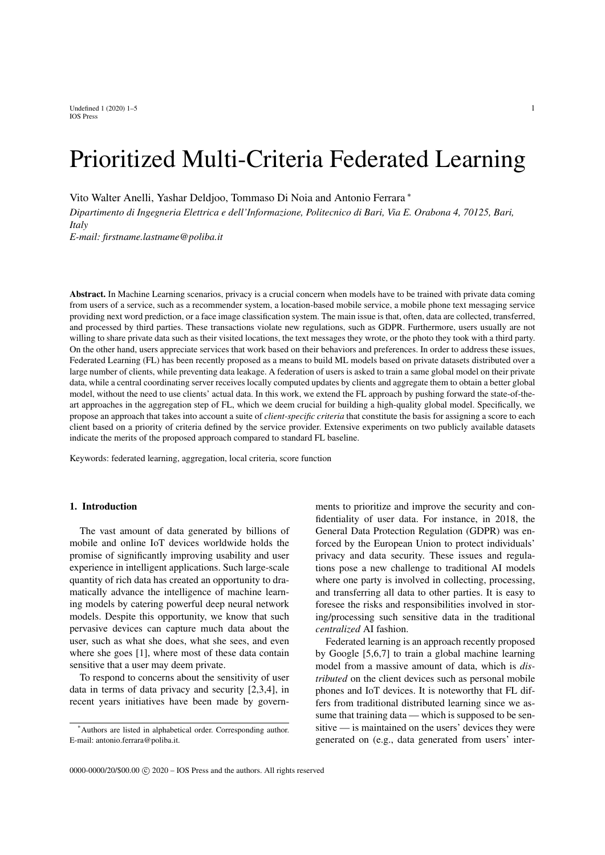Undefined  $1 (2020) 1-5$  1 IOS Press

# Prioritized Multi-Criteria Federated Learning

Vito Walter Anelli, Yashar Deldjoo, Tommaso Di Noia and Antonio Ferrara <sup>∗</sup>

*Dipartimento di Ingegneria Elettrica e dell'Informazione, Politecnico di Bari, Via E. Orabona 4, 70125, Bari, Italy*

*E-mail: firstname.lastname@poliba.it*

Abstract. In Machine Learning scenarios, privacy is a crucial concern when models have to be trained with private data coming from users of a service, such as a recommender system, a location-based mobile service, a mobile phone text messaging service providing next word prediction, or a face image classification system. The main issue is that, often, data are collected, transferred, and processed by third parties. These transactions violate new regulations, such as GDPR. Furthermore, users usually are not willing to share private data such as their visited locations, the text messages they wrote, or the photo they took with a third party. On the other hand, users appreciate services that work based on their behaviors and preferences. In order to address these issues, Federated Learning (FL) has been recently proposed as a means to build ML models based on private datasets distributed over a large number of clients, while preventing data leakage. A federation of users is asked to train a same global model on their private data, while a central coordinating server receives locally computed updates by clients and aggregate them to obtain a better global model, without the need to use clients' actual data. In this work, we extend the FL approach by pushing forward the state-of-theart approaches in the aggregation step of FL, which we deem crucial for building a high-quality global model. Specifically, we propose an approach that takes into account a suite of *client-specific criteria* that constitute the basis for assigning a score to each client based on a priority of criteria defined by the service provider. Extensive experiments on two publicly available datasets indicate the merits of the proposed approach compared to standard FL baseline.

Keywords: federated learning, aggregation, local criteria, score function

# 1. Introduction

The vast amount of data generated by billions of mobile and online IoT devices worldwide holds the promise of significantly improving usability and user experience in intelligent applications. Such large-scale quantity of rich data has created an opportunity to dramatically advance the intelligence of machine learning models by catering powerful deep neural network models. Despite this opportunity, we know that such pervasive devices can capture much data about the user, such as what she does, what she sees, and even where she goes [1], where most of these data contain sensitive that a user may deem private.

To respond to concerns about the sensitivity of user data in terms of data privacy and security [2,3,4], in recent years initiatives have been made by governments to prioritize and improve the security and confidentiality of user data. For instance, in 2018, the General Data Protection Regulation (GDPR) was enforced by the European Union to protect individuals' privacy and data security. These issues and regulations pose a new challenge to traditional AI models where one party is involved in collecting, processing, and transferring all data to other parties. It is easy to foresee the risks and responsibilities involved in storing/processing such sensitive data in the traditional *centralized* AI fashion.

Federated learning is an approach recently proposed by Google [5,6,7] to train a global machine learning model from a massive amount of data, which is *distributed* on the client devices such as personal mobile phones and IoT devices. It is noteworthy that FL differs from traditional distributed learning since we assume that training data — which is supposed to be sensitive — is maintained on the users' devices they were generated on (e.g., data generated from users' inter-

<sup>\*</sup>Authors are listed in alphabetical order. Corresponding author. E-mail: antonio.ferrara@poliba.it.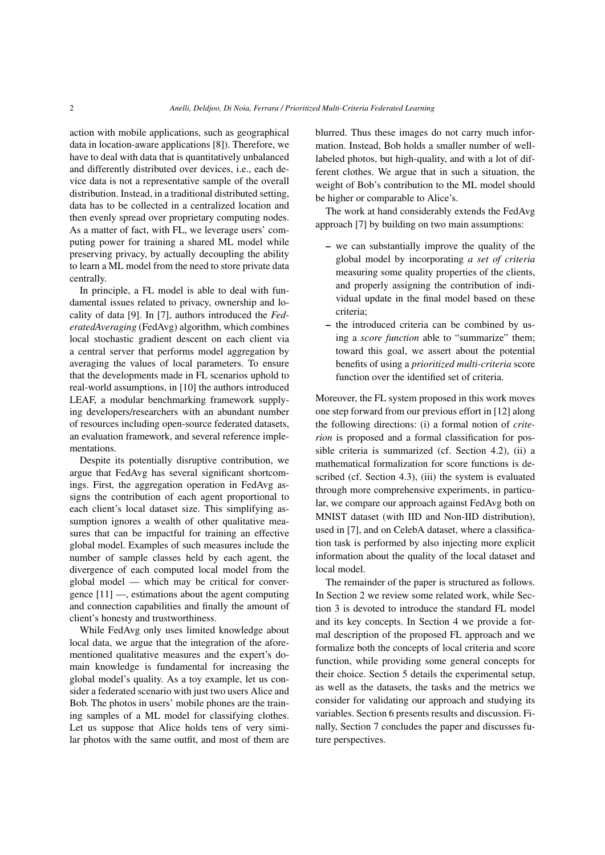action with mobile applications, such as geographical data in location-aware applications [8]). Therefore, we have to deal with data that is quantitatively unbalanced and differently distributed over devices, i.e., each device data is not a representative sample of the overall distribution. Instead, in a traditional distributed setting, data has to be collected in a centralized location and then evenly spread over proprietary computing nodes. As a matter of fact, with FL, we leverage users' computing power for training a shared ML model while preserving privacy, by actually decoupling the ability to learn a ML model from the need to store private data centrally.

In principle, a FL model is able to deal with fundamental issues related to privacy, ownership and locality of data [9]. In [7], authors introduced the *FederatedAveraging* (FedAvg) algorithm, which combines local stochastic gradient descent on each client via a central server that performs model aggregation by averaging the values of local parameters. To ensure that the developments made in FL scenarios uphold to real-world assumptions, in [10] the authors introduced LEAF, a modular benchmarking framework supplying developers/researchers with an abundant number of resources including open-source federated datasets, an evaluation framework, and several reference implementations.

Despite its potentially disruptive contribution, we argue that FedAvg has several significant shortcomings. First, the aggregation operation in FedAvg assigns the contribution of each agent proportional to each client's local dataset size. This simplifying assumption ignores a wealth of other qualitative measures that can be impactful for training an effective global model. Examples of such measures include the number of sample classes held by each agent, the divergence of each computed local model from the global model — which may be critical for convergence [11] —, estimations about the agent computing and connection capabilities and finally the amount of client's honesty and trustworthiness.

While FedAvg only uses limited knowledge about local data, we argue that the integration of the aforementioned qualitative measures and the expert's domain knowledge is fundamental for increasing the global model's quality. As a toy example, let us consider a federated scenario with just two users Alice and Bob. The photos in users' mobile phones are the training samples of a ML model for classifying clothes. Let us suppose that Alice holds tens of very similar photos with the same outfit, and most of them are blurred. Thus these images do not carry much information. Instead, Bob holds a smaller number of welllabeled photos, but high-quality, and with a lot of different clothes. We argue that in such a situation, the weight of Bob's contribution to the ML model should be higher or comparable to Alice's.

The work at hand considerably extends the FedAvg approach [7] by building on two main assumptions:

- we can substantially improve the quality of the global model by incorporating *a set of criteria* measuring some quality properties of the clients, and properly assigning the contribution of individual update in the final model based on these criteria;
- the introduced criteria can be combined by using a *score function* able to "summarize" them; toward this goal, we assert about the potential benefits of using a *prioritized multi-criteria* score function over the identified set of criteria.

Moreover, the FL system proposed in this work moves one step forward from our previous effort in [12] along the following directions: (i) a formal notion of *criterion* is proposed and a formal classification for possible criteria is summarized (cf. Section 4.2), (ii) a mathematical formalization for score functions is described (cf. Section 4.3), (iii) the system is evaluated through more comprehensive experiments, in particular, we compare our approach against FedAvg both on MNIST dataset (with IID and Non-IID distribution), used in [7], and on CelebA dataset, where a classification task is performed by also injecting more explicit information about the quality of the local dataset and local model.

The remainder of the paper is structured as follows. In Section 2 we review some related work, while Section 3 is devoted to introduce the standard FL model and its key concepts. In Section 4 we provide a formal description of the proposed FL approach and we formalize both the concepts of local criteria and score function, while providing some general concepts for their choice. Section 5 details the experimental setup, as well as the datasets, the tasks and the metrics we consider for validating our approach and studying its variables. Section 6 presents results and discussion. Finally, Section 7 concludes the paper and discusses future perspectives.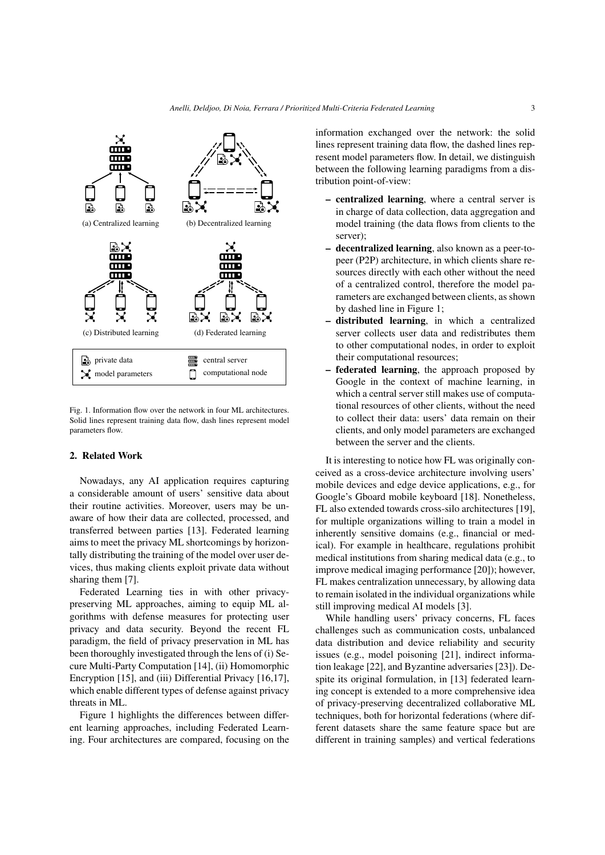

Fig. 1. Information flow over the network in four ML architectures. Solid lines represent training data flow, dash lines represent model parameters flow.

## 2. Related Work

Nowadays, any AI application requires capturing a considerable amount of users' sensitive data about their routine activities. Moreover, users may be unaware of how their data are collected, processed, and transferred between parties [13]. Federated learning aims to meet the privacy ML shortcomings by horizontally distributing the training of the model over user devices, thus making clients exploit private data without sharing them [7].

Federated Learning ties in with other privacypreserving ML approaches, aiming to equip ML algorithms with defense measures for protecting user privacy and data security. Beyond the recent FL paradigm, the field of privacy preservation in ML has been thoroughly investigated through the lens of (i) Secure Multi-Party Computation [14], (ii) Homomorphic Encryption [15], and (iii) Differential Privacy [16,17], which enable different types of defense against privacy threats in ML.

Figure 1 highlights the differences between different learning approaches, including Federated Learning. Four architectures are compared, focusing on the information exchanged over the network: the solid lines represent training data flow, the dashed lines represent model parameters flow. In detail, we distinguish between the following learning paradigms from a distribution point-of-view:

- centralized learning, where a central server is in charge of data collection, data aggregation and model training (the data flows from clients to the server);
- decentralized learning, also known as a peer-topeer (P2P) architecture, in which clients share resources directly with each other without the need of a centralized control, therefore the model parameters are exchanged between clients, as shown by dashed line in Figure 1;
- distributed learning, in which a centralized server collects user data and redistributes them to other computational nodes, in order to exploit their computational resources;
- federated learning, the approach proposed by Google in the context of machine learning, in which a central server still makes use of computational resources of other clients, without the need to collect their data: users' data remain on their clients, and only model parameters are exchanged between the server and the clients.

It is interesting to notice how FL was originally conceived as a cross-device architecture involving users' mobile devices and edge device applications, e.g., for Google's Gboard mobile keyboard [18]. Nonetheless, FL also extended towards cross-silo architectures [19], for multiple organizations willing to train a model in inherently sensitive domains (e.g., financial or medical). For example in healthcare, regulations prohibit medical institutions from sharing medical data (e.g., to improve medical imaging performance [20]); however, FL makes centralization unnecessary, by allowing data to remain isolated in the individual organizations while still improving medical AI models [3].

While handling users' privacy concerns, FL faces challenges such as communication costs, unbalanced data distribution and device reliability and security issues (e.g., model poisoning [21], indirect information leakage [22], and Byzantine adversaries [23]). Despite its original formulation, in [13] federated learning concept is extended to a more comprehensive idea of privacy-preserving decentralized collaborative ML techniques, both for horizontal federations (where different datasets share the same feature space but are different in training samples) and vertical federations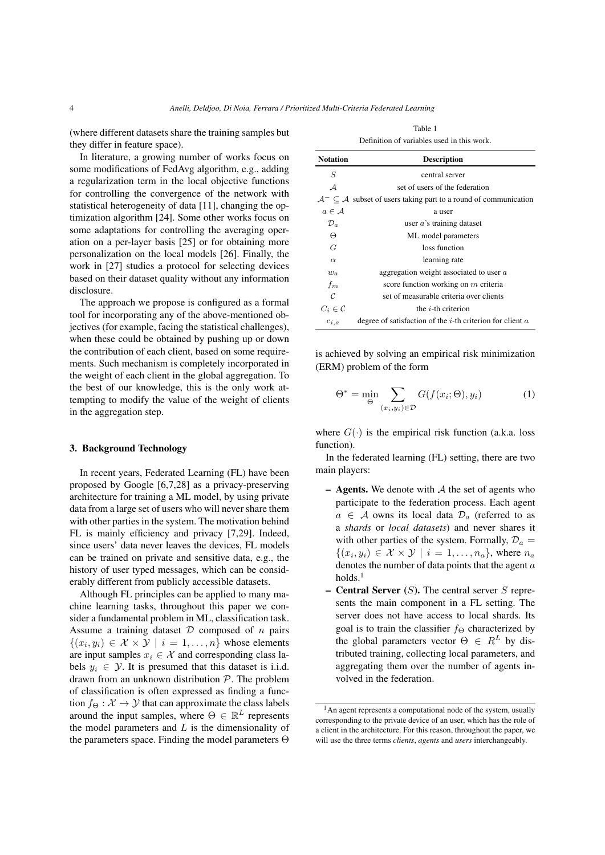(where different datasets share the training samples but they differ in feature space).

In literature, a growing number of works focus on some modifications of FedAvg algorithm, e.g., adding a regularization term in the local objective functions for controlling the convergence of the network with statistical heterogeneity of data [11], changing the optimization algorithm [24]. Some other works focus on some adaptations for controlling the averaging operation on a per-layer basis [25] or for obtaining more personalization on the local models [26]. Finally, the work in [27] studies a protocol for selecting devices based on their dataset quality without any information disclosure.

The approach we propose is configured as a formal tool for incorporating any of the above-mentioned objectives (for example, facing the statistical challenges), when these could be obtained by pushing up or down the contribution of each client, based on some requirements. Such mechanism is completely incorporated in the weight of each client in the global aggregation. To the best of our knowledge, this is the only work attempting to modify the value of the weight of clients in the aggregation step.

## 3. Background Technology

In recent years, Federated Learning (FL) have been proposed by Google [6,7,28] as a privacy-preserving architecture for training a ML model, by using private data from a large set of users who will never share them with other parties in the system. The motivation behind FL is mainly efficiency and privacy [7,29]. Indeed, since users' data never leaves the devices, FL models can be trained on private and sensitive data, e.g., the history of user typed messages, which can be considerably different from publicly accessible datasets.

Although FL principles can be applied to many machine learning tasks, throughout this paper we consider a fundamental problem in ML, classification task. Assume a training dataset  $D$  composed of  $n$  pairs  $\{(x_i, y_i) \in \mathcal{X} \times \mathcal{Y} \mid i = 1, \dots, n\}$  whose elements are input samples  $x_i \in \mathcal{X}$  and corresponding class labels  $y_i \in \mathcal{Y}$ . It is presumed that this dataset is i.i.d. drawn from an unknown distribution P. The problem of classification is often expressed as finding a function  $f_{\Theta}: \mathcal{X} \rightarrow \mathcal{Y}$  that can approximate the class labels around the input samples, where  $\Theta \in \mathbb{R}^L$  represents the model parameters and  $L$  is the dimensionality of the parameters space. Finding the model parameters Θ

|                     | Deminion of variables ased in this work.                                                    |
|---------------------|---------------------------------------------------------------------------------------------|
| <b>Notation</b>     | <b>Description</b>                                                                          |
| S                   | central server                                                                              |
| $\mathcal{A}$       | set of users of the federation                                                              |
|                     | $\mathcal{A}^- \subset \mathcal{A}$ subset of users taking part to a round of communication |
| $a \in \mathcal{A}$ | a user                                                                                      |
| $\mathcal{D}_a$     | user $a$ 's training dataset                                                                |
| Θ                   | ML model parameters                                                                         |
| G                   | loss function                                                                               |
| $\alpha$            | learning rate                                                                               |

 $w_a$  aggregation weight associated to user  $a$  $f_m$  score function working on m criteria  $\mathcal C$  set of measurable criteria over clients

 $C_i \in \mathcal{C}$  the *i*-th criterion

| Table 1                                    |
|--------------------------------------------|
| Definition of variables used in this work. |

is achieved by solving an empirical risk minimization (ERM) problem of the form

 $c_{i,a}$  degree of satisfaction of the *i*-th criterion for client  $a$ 

$$
\Theta^* = \min_{\Theta} \sum_{(x_i, y_i) \in \mathcal{D}} G(f(x_i; \Theta), y_i)
$$
 (1)

where  $G(\cdot)$  is the empirical risk function (a.k.a. loss function).

In the federated learning (FL) setting, there are two main players:

- **Agents.** We denote with  $A$  the set of agents who participate to the federation process. Each agent  $a \in A$  owns its local data  $\mathcal{D}_a$  (referred to as a *shards* or *local datasets*) and never shares it with other parties of the system. Formally,  $\mathcal{D}_a$  =  $\{(x_i, y_i) \in \mathcal{X} \times \mathcal{Y} \mid i = 1, \ldots, n_a\}$ , where  $n_a$ denotes the number of data points that the agent a  $holds<sup>1</sup>$
- **Central Server**  $(S)$ . The central server S represents the main component in a FL setting. The server does not have access to local shards. Its goal is to train the classifier  $f_{\Theta}$  characterized by the global parameters vector  $\Theta \in R^L$  by distributed training, collecting local parameters, and aggregating them over the number of agents involved in the federation.

<sup>&</sup>lt;sup>1</sup>An agent represents a computational node of the system, usually corresponding to the private device of an user, which has the role of a client in the architecture. For this reason, throughout the paper, we will use the three terms *clients*, *agents* and *users* interchangeably.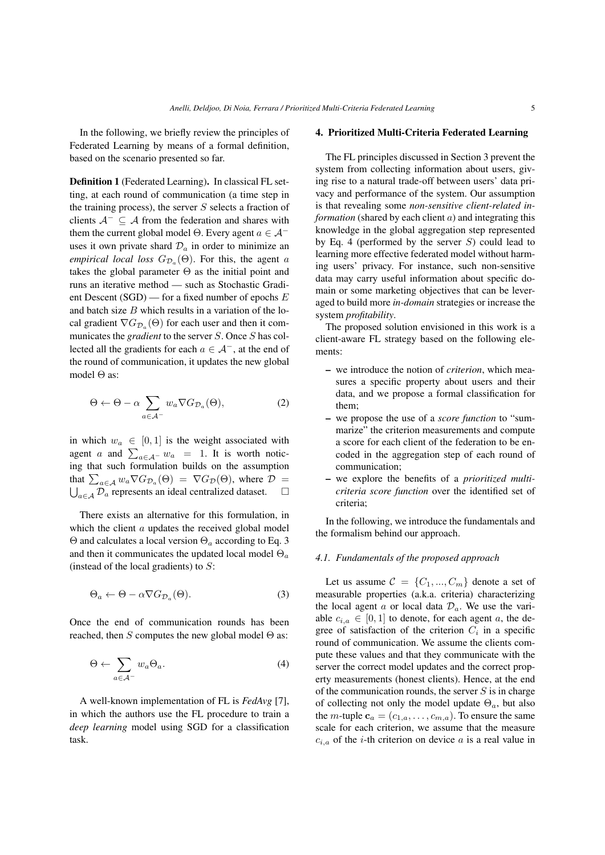In the following, we briefly review the principles of Federated Learning by means of a formal definition, based on the scenario presented so far.

Definition 1 (Federated Learning). In classical FL setting, at each round of communication (a time step in the training process), the server  $S$  selects a fraction of clients  $A^- \subseteq A$  from the federation and shares with them the current global model Θ. Every agent  $a \in \mathcal{A}^$ uses it own private shard  $\mathcal{D}_a$  in order to minimize an *empirical local loss*  $G_{\mathcal{D}_a}(\Theta)$ . For this, the agent a takes the global parameter  $\Theta$  as the initial point and runs an iterative method — such as Stochastic Gradient Descent (SGD) — for a fixed number of epochs E and batch size  $B$  which results in a variation of the local gradient  $\nabla G_{\mathcal{D}_a}(\Theta)$  for each user and then it communicates the *gradient* to the server S. Once S has collected all the gradients for each  $a \in \mathcal{A}^-$ , at the end of the round of communication, it updates the new global model Θ as:

$$
\Theta \leftarrow \Theta - \alpha \sum_{a \in \mathcal{A}^-} w_a \nabla G_{\mathcal{D}_a}(\Theta), \tag{2}
$$

in which  $w_a \in [0, 1]$  is the weight associated with agent *a* and  $\sum_{a \in A^-} w_a = 1$ . It is worth noticing that such formulation builds on the assumption that  $\sum_{a \in A} w_a \nabla G_{\mathcal{D}_a}(\Theta) = \nabla G_{\mathcal{D}}(\Theta)$ , where  $\mathcal{D} =$  $\bigcup_{a \in \mathcal{A}} \widetilde{\mathcal{D}_a}$  represents an ideal centralized dataset.  $\Box$ 

There exists an alternative for this formulation, in which the client  $a$  updates the received global model  $\Theta$  and calculates a local version  $\Theta_a$  according to Eq. 3 and then it communicates the updated local model  $\Theta_a$ (instead of the local gradients) to  $S$ :

$$
\Theta_a \leftarrow \Theta - \alpha \nabla G_{\mathcal{D}_a}(\Theta). \tag{3}
$$

Once the end of communication rounds has been reached, then S computes the new global model  $\Theta$  as:

$$
\Theta \leftarrow \sum_{a \in \mathcal{A}^-} w_a \Theta_a. \tag{4}
$$

A well-known implementation of FL is *FedAvg* [7], in which the authors use the FL procedure to train a *deep learning* model using SGD for a classification task.

# 4. Prioritized Multi-Criteria Federated Learning

The FL principles discussed in Section 3 prevent the system from collecting information about users, giving rise to a natural trade-off between users' data privacy and performance of the system. Our assumption is that revealing some *non-sensitive client-related information* (shared by each client a) and integrating this knowledge in the global aggregation step represented by Eq. 4 (performed by the server  $S$ ) could lead to learning more effective federated model without harming users' privacy. For instance, such non-sensitive data may carry useful information about specific domain or some marketing objectives that can be leveraged to build more *in-domain* strategies or increase the system *profitability*.

The proposed solution envisioned in this work is a client-aware FL strategy based on the following elements:

- we introduce the notion of *criterion*, which measures a specific property about users and their data, and we propose a formal classification for them;
- we propose the use of a *score function* to "summarize" the criterion measurements and compute a score for each client of the federation to be encoded in the aggregation step of each round of communication;
- we explore the benefits of a *prioritized multicriteria score function* over the identified set of criteria;

In the following, we introduce the fundamentals and the formalism behind our approach.

## *4.1. Fundamentals of the proposed approach*

Let us assume  $C = \{C_1, ..., C_m\}$  denote a set of measurable properties (a.k.a. criteria) characterizing the local agent a or local data  $\mathcal{D}_a$ . We use the variable  $c_{i,a} \in [0,1]$  to denote, for each agent a, the degree of satisfaction of the criterion  $C_i$  in a specific round of communication. We assume the clients compute these values and that they communicate with the server the correct model updates and the correct property measurements (honest clients). Hence, at the end of the communication rounds, the server  $S$  is in charge of collecting not only the model update  $\Theta_a$ , but also the *m*-tuple  $\mathbf{c}_a = (c_{1,a}, \dots, c_{m,a})$ . To ensure the same scale for each criterion, we assume that the measure  $c_{i,a}$  of the *i*-th criterion on device a is a real value in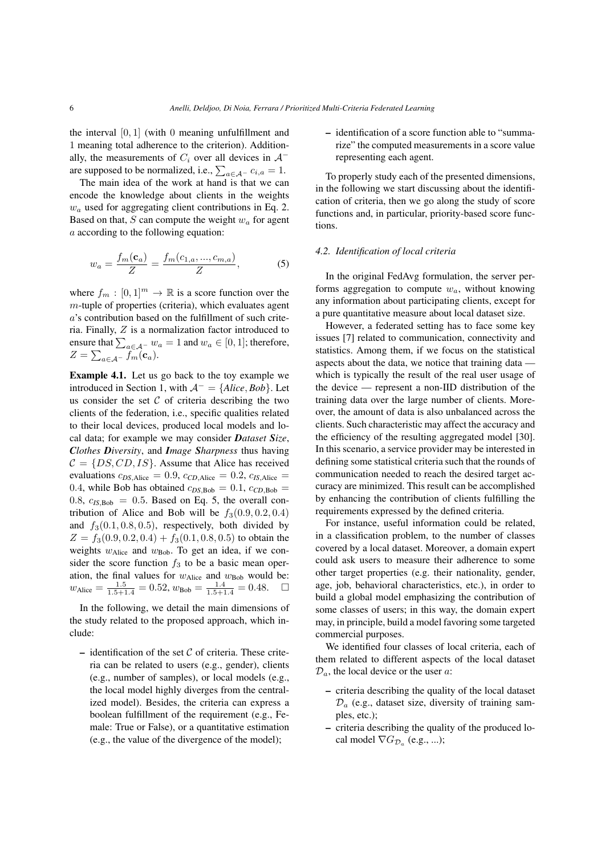the interval  $[0, 1]$  (with 0 meaning unfulfillment and 1 meaning total adherence to the criterion). Additionally, the measurements of  $C_i$  over all devices in  $A^$ are supposed to be normalized, i.e.,  $\sum_{a \in \mathcal{A}^-} c_{i,a} = 1$ .

The main idea of the work at hand is that we can encode the knowledge about clients in the weights  $w_a$  used for aggregating client contributions in Eq. 2. Based on that, S can compute the weight  $w_a$  for agent a according to the following equation:

$$
w_a = \frac{f_m(c_a)}{Z} = \frac{f_m(c_{1,a}, ..., c_{m,a})}{Z},
$$
 (5)

where  $f_m : [0,1]^m \to \mathbb{R}$  is a score function over the m-tuple of properties (criteria), which evaluates agent a's contribution based on the fulfillment of such criteria. Finally, Z is a normalization factor introduced to ensure that  $\sum_{a \in \mathcal{A}^-} w_a = 1$  and  $w_a \in [0,1]$ ; therefore,  $Z=\sum_{a\in\mathcal{A}^-}f_m(\mathbf{c}_a).$ 

Example 4.1. Let us go back to the toy example we introduced in Section 1, with  $A^- = \{Alice, Bob\}$ . Let us consider the set  $C$  of criteria describing the two clients of the federation, i.e., specific qualities related to their local devices, produced local models and local data; for example we may consider *Dataset Size*, *Clothes Diversity*, and *Image Sharpness* thus having  $C = \{DS, CD, IS\}$ . Assume that Alice has received evaluations  $c_{DS, Alice} = 0.9$ ,  $c_{CD, Alice} = 0.2$ ,  $c_{IS, Alice} =$ 0.4, while Bob has obtained  $c_{DS, Bob} = 0.1$ ,  $c_{CD, Bob} = 0$  $0.8, c_{I.S.Bob} = 0.5$ . Based on Eq. 5, the overall contribution of Alice and Bob will be  $f_3(0.9, 0.2, 0.4)$ and  $f_3(0.1, 0.8, 0.5)$ , respectively, both divided by  $Z = f_3(0.9, 0.2, 0.4) + f_3(0.1, 0.8, 0.5)$  to obtain the weights  $w_{Alice}$  and  $w_{Bob}$ . To get an idea, if we consider the score function  $f_3$  to be a basic mean operation, the final values for  $w_{Alice}$  and  $w_{Bob}$  would be:  $w_{\text{Alice}} = \frac{1.5}{1.5+1.4} = 0.52, w_{\text{Bob}} = \frac{1.4}{1.5+1.4} = 0.48.$ 

In the following, we detail the main dimensions of the study related to the proposed approach, which include:

– identification of the set  $C$  of criteria. These criteria can be related to users (e.g., gender), clients (e.g., number of samples), or local models (e.g., the local model highly diverges from the centralized model). Besides, the criteria can express a boolean fulfillment of the requirement (e.g., Female: True or False), or a quantitative estimation (e.g., the value of the divergence of the model);

– identification of a score function able to "summarize" the computed measurements in a score value representing each agent.

To properly study each of the presented dimensions, in the following we start discussing about the identification of criteria, then we go along the study of score functions and, in particular, priority-based score functions.

# *4.2. Identification of local criteria*

In the original FedAvg formulation, the server performs aggregation to compute  $w_a$ , without knowing any information about participating clients, except for a pure quantitative measure about local dataset size.

However, a federated setting has to face some key issues [7] related to communication, connectivity and statistics. Among them, if we focus on the statistical aspects about the data, we notice that training data which is typically the result of the real user usage of the device — represent a non-IID distribution of the training data over the large number of clients. Moreover, the amount of data is also unbalanced across the clients. Such characteristic may affect the accuracy and the efficiency of the resulting aggregated model [30]. In this scenario, a service provider may be interested in defining some statistical criteria such that the rounds of communication needed to reach the desired target accuracy are minimized. This result can be accomplished by enhancing the contribution of clients fulfilling the requirements expressed by the defined criteria.

For instance, useful information could be related, in a classification problem, to the number of classes covered by a local dataset. Moreover, a domain expert could ask users to measure their adherence to some other target properties (e.g. their nationality, gender, age, job, behavioral characteristics, etc.), in order to build a global model emphasizing the contribution of some classes of users; in this way, the domain expert may, in principle, build a model favoring some targeted commercial purposes.

We identified four classes of local criteria, each of them related to different aspects of the local dataset  $\mathcal{D}_a$ , the local device or the user a:

- criteria describing the quality of the local dataset  $\mathcal{D}_a$  (e.g., dataset size, diversity of training samples, etc.);
- criteria describing the quality of the produced local model  $\nabla G_{\mathcal{D}_a}$  (e.g., ...);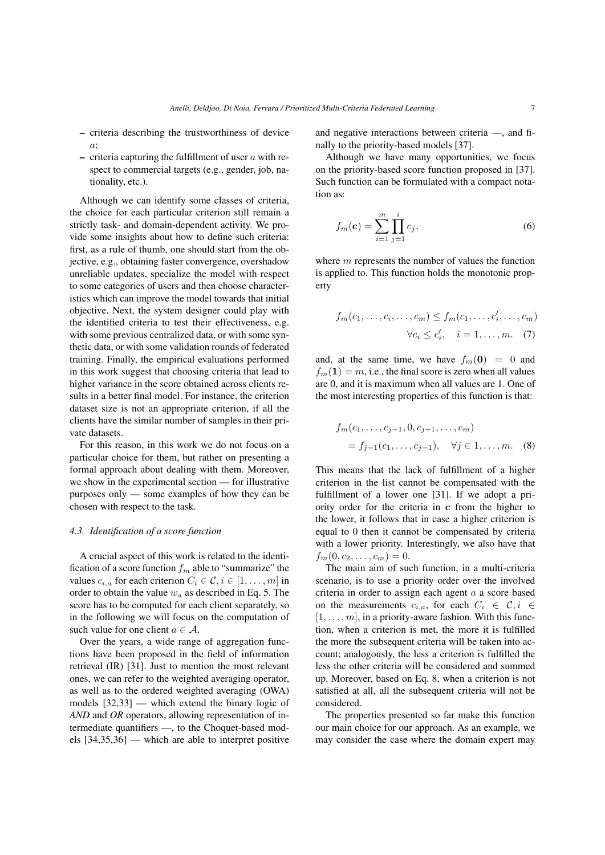- criteria describing the trustworthiness of device a;
- criteria capturing the fulfillment of user  $a$  with respect to commercial targets (e.g., gender, job, nationality, etc.).

Although we can identify some classes of criteria, the choice for each particular criterion still remain a strictly task- and domain-dependent activity. We provide some insights about how to define such criteria: first, as a rule of thumb, one should start from the objective, e.g., obtaining faster convergence, overshadow unreliable updates, specialize the model with respect to some categories of users and then choose characteristics which can improve the model towards that initial objective. Next, the system designer could play with the identified criteria to test their effectiveness, e.g. with some previous centralized data, or with some synthetic data, or with some validation rounds of federated training. Finally, the empirical evaluations performed in this work suggest that choosing criteria that lead to higher variance in the score obtained across clients results in a better final model. For instance, the criterion dataset size is not an appropriate criterion, if all the clients have the similar number of samples in their private datasets.

For this reason, in this work we do not focus on a particular choice for them, but rather on presenting a formal approach about dealing with them. Moreover, we show in the experimental section — for illustrative purposes only — some examples of how they can be chosen with respect to the task.

## *4.3. Identification of a score function*

A crucial aspect of this work is related to the identification of a score function  $f_m$  able to "summarize" the values  $c_{i,a}$  for each criterion  $C_i \in \mathcal{C}, i \in [1, \ldots, m]$  in order to obtain the value  $w_a$  as described in Eq. 5. The score has to be computed for each client separately, so in the following we will focus on the computation of such value for one client  $a \in \mathcal{A}$ .

Over the years, a wide range of aggregation functions have been proposed in the field of information retrieval (IR) [31]. Just to mention the most relevant ones, we can refer to the weighted averaging operator, as well as to the ordered weighted averaging (OWA) models [32,33] — which extend the binary logic of *AND* and *OR* operators, allowing representation of intermediate quantifiers —, to the Choquet-based models [34,35,36] — which are able to interpret positive and negative interactions between criteria —, and finally to the priority-based models [37].

Although we have many opportunities, we focus on the priority-based score function proposed in [37]. Such function can be formulated with a compact notation as:

$$
f_m(\mathbf{c}) = \sum_{i=1}^m \prod_{j=1}^i c_j,
$$
 (6)

where  $m$  represents the number of values the function is applied to. This function holds the monotonic property

$$
f_m(c_1, \ldots, c_i, \ldots, c_m) \le f_m(c_1, \ldots, c'_i, \ldots, c_m)
$$

$$
\forall c_i \le c'_i, \quad i = 1, \ldots, m. \quad (7)
$$

and, at the same time, we have  $f_m(0) = 0$  and  $f_m(1) = m$ , i.e., the final score is zero when all values are 0, and it is maximum when all values are 1. One of the most interesting properties of this function is that:

$$
f_m(c_1, \ldots, c_{j-1}, 0, c_{j+1}, \ldots, c_m)
$$
  
=  $f_{j-1}(c_1, \ldots, c_{j-1}), \quad \forall j \in 1, \ldots, m.$  (8)

This means that the lack of fulfillment of a higher criterion in the list cannot be compensated with the fulfillment of a lower one [31]. If we adopt a priority order for the criteria in c from the higher to the lower, it follows that in case a higher criterion is equal to 0 then it cannot be compensated by criteria with a lower priority. Interestingly, we also have that  $f_m(0, c_2, \ldots, c_m) = 0.$ 

The main aim of such function, in a multi-criteria scenario, is to use a priority order over the involved criteria in order to assign each agent a a score based on the measurements  $c_{i,a}$ , for each  $C_i \in \mathcal{C}, i \in$  $[1, \ldots, m]$ , in a priority-aware fashion. With this function, when a criterion is met, the more it is fulfilled the more the subsequent criteria will be taken into account; analogously, the less a criterion is fulfilled the less the other criteria will be considered and summed up. Moreover, based on Eq. 8, when a criterion is not satisfied at all, all the subsequent criteria will not be considered.

The properties presented so far make this function our main choice for our approach. As an example, we may consider the case where the domain expert may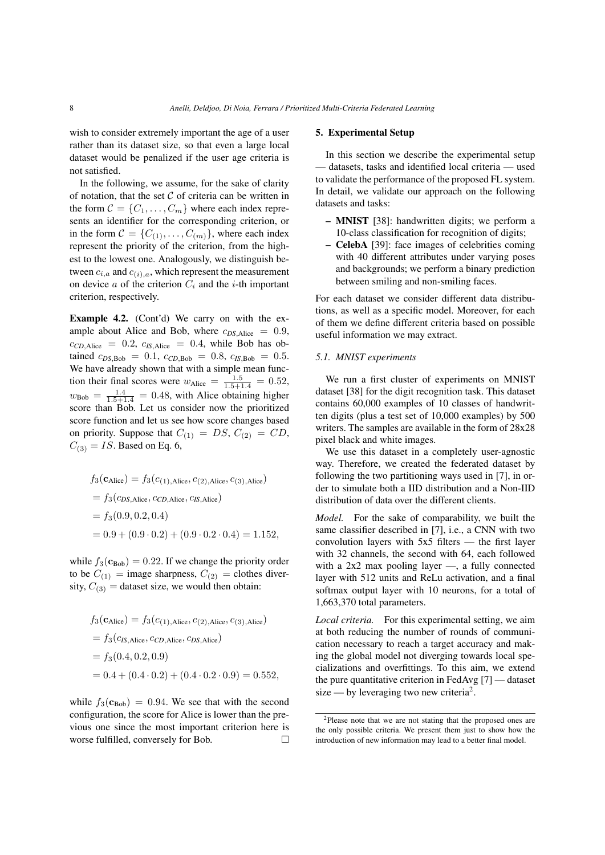wish to consider extremely important the age of a user rather than its dataset size, so that even a large local dataset would be penalized if the user age criteria is not satisfied.

In the following, we assume, for the sake of clarity of notation, that the set  $C$  of criteria can be written in the form  $C = \{C_1, \ldots, C_m\}$  where each index represents an identifier for the corresponding criterion, or in the form  $C = \{C_{(1)}, \ldots, C_{(m)}\}$ , where each index represent the priority of the criterion, from the highest to the lowest one. Analogously, we distinguish between  $c_{i,a}$  and  $c_{(i),a}$ , which represent the measurement on device  $a$  of the criterion  $C_i$  and the *i*-th important criterion, respectively.

Example 4.2. (Cont'd) We carry on with the example about Alice and Bob, where  $c_{DS, Alice} = 0.9$ ,  $c_{CD,Alice} = 0.2$ ,  $c_{IS,Alice} = 0.4$ , while Bob has obtained  $c_{DS, Bob} = 0.1$ ,  $c_{CD, Bob} = 0.8$ ,  $c_{IS, Bob} = 0.5$ . We have already shown that with a simple mean function their final scores were  $w_{\text{Alice}} = \frac{1.5}{1.5+1.4} = 0.52$ ,  $w_{\text{Bob}} = \frac{1.4}{1.5 + 1.4} = 0.48$ , with Alice obtaining higher score than Bob. Let us consider now the prioritized score function and let us see how score changes based on priority. Suppose that  $C_{(1)} = DS$ ,  $C_{(2)} = CD$ ,  $C_{(3)} = IS$ . Based on Eq. 6,

$$
f_3(\mathbf{c}_{\text{Alice}}) = f_3(c_{(1), \text{Alice}}, c_{(2), \text{Alice}}, c_{(3), \text{Alice}})
$$
  
=  $f_3(c_{DS, \text{Alice}}, c_{CD, \text{Alice}}, c_{IS, \text{Alice}})$   
=  $f_3(0.9, 0.2, 0.4)$   
=  $0.9 + (0.9 \cdot 0.2) + (0.9 \cdot 0.2 \cdot 0.4) = 1.152$ ,

while  $f_3(c_{\text{Bob}}) = 0.22$ . If we change the priority order to be  $C_{(1)} = \text{image sharpness}, C_{(2)} = \text{clothes diver-}$ sity,  $C_{(3)}$  = dataset size, we would then obtain:

$$
f_3(\mathbf{c}_{\text{Alice}}) = f_3(c_{(1), \text{Alice}}, c_{(2), \text{Alice}}, c_{(3), \text{Alice}})
$$
  
=  $f_3(c_{\text{IS}, \text{Alice}}, c_{\text{CD}, \text{Alice}}, c_{\text{DS}, \text{Alice}})$   
=  $f_3(0.4, 0.2, 0.9)$   
=  $0.4 + (0.4 \cdot 0.2) + (0.4 \cdot 0.2 \cdot 0.9) = 0.552$ ,

while  $f_3(c_{\text{Bob}}) = 0.94$ . We see that with the second configuration, the score for Alice is lower than the previous one since the most important criterion here is worse fulfilled, conversely for Bob.

## 5. Experimental Setup

In this section we describe the experimental setup — datasets, tasks and identified local criteria — used to validate the performance of the proposed FL system. In detail, we validate our approach on the following datasets and tasks:

- MNIST [38]: handwritten digits; we perform a 10-class classification for recognition of digits;
- CelebA [39]: face images of celebrities coming with 40 different attributes under varying poses and backgrounds; we perform a binary prediction between smiling and non-smiling faces.

For each dataset we consider different data distributions, as well as a specific model. Moreover, for each of them we define different criteria based on possible useful information we may extract.

# *5.1. MNIST experiments*

We run a first cluster of experiments on MNIST dataset [38] for the digit recognition task. This dataset contains 60,000 examples of 10 classes of handwritten digits (plus a test set of 10,000 examples) by 500 writers. The samples are available in the form of 28x28 pixel black and white images.

We use this dataset in a completely user-agnostic way. Therefore, we created the federated dataset by following the two partitioning ways used in [7], in order to simulate both a IID distribution and a Non-IID distribution of data over the different clients.

*Model.* For the sake of comparability, we built the same classifier described in [7], i.e., a CNN with two convolution layers with 5x5 filters — the first layer with 32 channels, the second with 64, each followed with a 2x2 max pooling layer —, a fully connected layer with 512 units and ReLu activation, and a final softmax output layer with 10 neurons, for a total of 1,663,370 total parameters.

*Local criteria.* For this experimental setting, we aim at both reducing the number of rounds of communication necessary to reach a target accuracy and making the global model not diverging towards local specializations and overfittings. To this aim, we extend the pure quantitative criterion in FedAvg [7] — dataset size — by leveraging two new criteria<sup>2</sup>.

<sup>2</sup>Please note that we are not stating that the proposed ones are the only possible criteria. We present them just to show how the introduction of new information may lead to a better final model.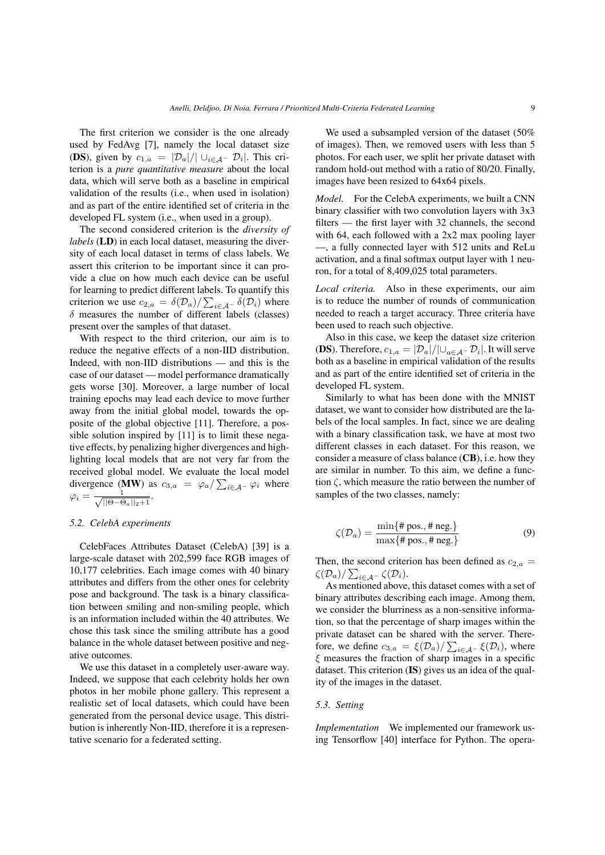The first criterion we consider is the one already used by FedAvg [7], namely the local dataset size (DS), given by  $c_{1,a} = |\mathcal{D}_a|/|\cup_{i \in \mathcal{A}^-} \mathcal{D}_i|$ . This criterion is a *pure quantitative measure* about the local data, which will serve both as a baseline in empirical validation of the results (i.e., when used in isolation) and as part of the entire identified set of criteria in the developed FL system (i.e., when used in a group).

The second considered criterion is the *diversity of labels* (LD) in each local dataset, measuring the diversity of each local dataset in terms of class labels. We assert this criterion to be important since it can provide a clue on how much each device can be useful for learning to predict different labels. To quantify this criterion we use  $c_{2,a} = \delta(\mathcal{D}_a)/\sum_{i \in \mathcal{A}^-} \delta(\mathcal{D}_i)$  where  $\delta$  measures the number of different labels (classes) present over the samples of that dataset.

With respect to the third criterion, our aim is to reduce the negative effects of a non-IID distribution. Indeed, with non-IID distributions — and this is the case of our dataset — model performance dramatically gets worse [30]. Moreover, a large number of local training epochs may lead each device to move further away from the initial global model, towards the opposite of the global objective [11]. Therefore, a possible solution inspired by [11] is to limit these negative effects, by penalizing higher divergences and highlighting local models that are not very far from the received global model. We evaluate the local model divergence (MW) as  $c_{3,a} = \varphi_a / \sum_{i \in A^-} \varphi_i$  where  $\varphi_i = \frac{1}{\sqrt{100 \epsilon}}$  $\frac{1}{\|\Theta-\Theta_a\|_2+1}$ .

#### *5.2. CelebA experiments*

CelebFaces Attributes Dataset (CelebA) [39] is a large-scale dataset with 202,599 face RGB images of 10,177 celebrities. Each image comes with 40 binary attributes and differs from the other ones for celebrity pose and background. The task is a binary classification between smiling and non-smiling people, which is an information included within the 40 attributes. We chose this task since the smiling attribute has a good balance in the whole dataset between positive and negative outcomes.

We use this dataset in a completely user-aware way. Indeed, we suppose that each celebrity holds her own photos in her mobile phone gallery. This represent a realistic set of local datasets, which could have been generated from the personal device usage. This distribution is inherently Non-IID, therefore it is a representative scenario for a federated setting.

We used a subsampled version of the dataset (50% of images). Then, we removed users with less than 5 photos. For each user, we split her private dataset with random hold-out method with a ratio of 80/20. Finally, images have been resized to 64x64 pixels.

*Model.* For the CelebA experiments, we built a CNN binary classifier with two convolution layers with 3x3 filters — the first layer with 32 channels, the second with 64, each followed with a 2x2 max pooling layer —, a fully connected layer with 512 units and ReLu activation, and a final softmax output layer with 1 neuron, for a total of 8,409,025 total parameters.

*Local criteria.* Also in these experiments, our aim is to reduce the number of rounds of communication needed to reach a target accuracy. Three criteria have been used to reach such objective.

Also in this case, we keep the dataset size criterion **(DS)**. Therefore,  $c_{1,a} = |\mathcal{D}_a|/|\cup_{a \in \mathcal{A}} |\mathcal{D}_i|$ . It will serve both as a baseline in empirical validation of the results and as part of the entire identified set of criteria in the developed FL system.

Similarly to what has been done with the MNIST dataset, we want to consider how distributed are the labels of the local samples. In fact, since we are dealing with a binary classification task, we have at most two different classes in each dataset. For this reason, we consider a measure of class balance (CB), i.e. how they are similar in number. To this aim, we define a function  $\zeta$ , which measure the ratio between the number of samples of the two classes, namely:

$$
\zeta(\mathcal{D}_a) = \frac{\min\{\text{\# pos.}, \text{\# neg.}\}}{\max\{\text{\# pos.}, \text{\# neg.}\}}
$$
(9)

Then, the second criterion has been defined as  $c_{2,a} =$  $\zeta(\mathcal{D}_a)/\sum_{i\in \mathcal{A}^-}\zeta(\mathcal{D}_i).$ 

As mentioned above, this dataset comes with a set of binary attributes describing each image. Among them, we consider the blurriness as a non-sensitive information, so that the percentage of sharp images within the private dataset can be shared with the server. Therefore, we define  $c_{3,a} = \xi(\mathcal{D}_a)/\sum_{i \in \mathcal{A}^-} \xi(\mathcal{D}_i)$ , where  $\xi$  measures the fraction of sharp images in a specific dataset. This criterion (IS) gives us an idea of the quality of the images in the dataset.

# *5.3. Setting*

*Implementation* We implemented our framework using Tensorflow [40] interface for Python. The opera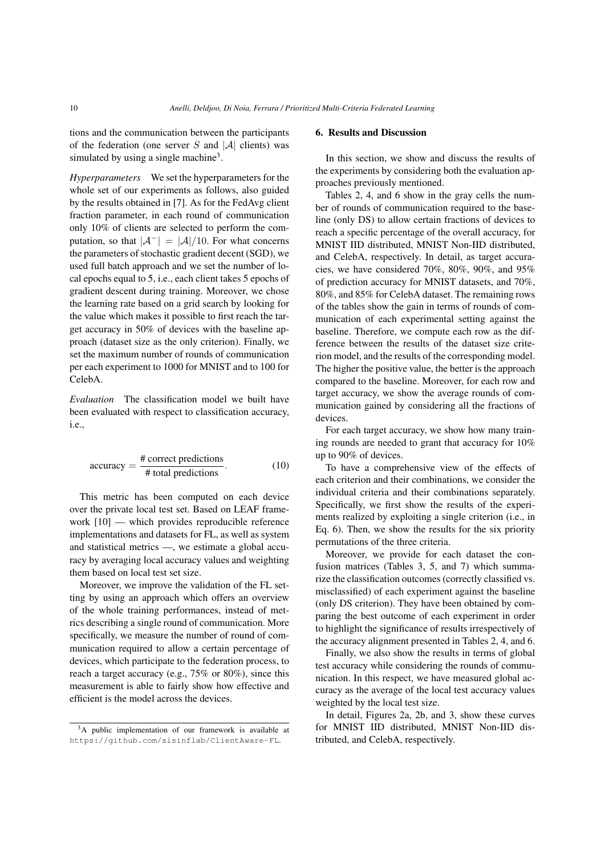tions and the communication between the participants of the federation (one server S and  $|A|$  clients) was simulated by using a single machine<sup>3</sup>.

*Hyperparameters* We set the hyperparameters for the whole set of our experiments as follows, also guided by the results obtained in [7]. As for the FedAvg client fraction parameter, in each round of communication only 10% of clients are selected to perform the computation, so that  $|\mathcal{A}^{-}| = |\mathcal{A}|/10$ . For what concerns the parameters of stochastic gradient decent (SGD), we used full batch approach and we set the number of local epochs equal to 5, i.e., each client takes 5 epochs of gradient descent during training. Moreover, we chose the learning rate based on a grid search by looking for the value which makes it possible to first reach the target accuracy in 50% of devices with the baseline approach (dataset size as the only criterion). Finally, we set the maximum number of rounds of communication per each experiment to 1000 for MNIST and to 100 for CelebA.

*Evaluation* The classification model we built have been evaluated with respect to classification accuracy, i.e.,

accuracy = 
$$
\frac{\text{# correct predictions}}{\text{# total predictions}}
$$
. (10)

This metric has been computed on each device over the private local test set. Based on LEAF framework [10] — which provides reproducible reference implementations and datasets for FL, as well as system and statistical metrics —, we estimate a global accuracy by averaging local accuracy values and weighting them based on local test set size.

Moreover, we improve the validation of the FL setting by using an approach which offers an overview of the whole training performances, instead of metrics describing a single round of communication. More specifically, we measure the number of round of communication required to allow a certain percentage of devices, which participate to the federation process, to reach a target accuracy (e.g., 75% or 80%), since this measurement is able to fairly show how effective and efficient is the model across the devices.

# 6. Results and Discussion

In this section, we show and discuss the results of the experiments by considering both the evaluation approaches previously mentioned.

Tables 2, 4, and 6 show in the gray cells the number of rounds of communication required to the baseline (only DS) to allow certain fractions of devices to reach a specific percentage of the overall accuracy, for MNIST IID distributed, MNIST Non-IID distributed, and CelebA, respectively. In detail, as target accuracies, we have considered 70%, 80%, 90%, and 95% of prediction accuracy for MNIST datasets, and 70%, 80%, and 85% for CelebA dataset. The remaining rows of the tables show the gain in terms of rounds of communication of each experimental setting against the baseline. Therefore, we compute each row as the difference between the results of the dataset size criterion model, and the results of the corresponding model. The higher the positive value, the better is the approach compared to the baseline. Moreover, for each row and target accuracy, we show the average rounds of communication gained by considering all the fractions of devices.

For each target accuracy, we show how many training rounds are needed to grant that accuracy for 10% up to 90% of devices.

To have a comprehensive view of the effects of each criterion and their combinations, we consider the individual criteria and their combinations separately. Specifically, we first show the results of the experiments realized by exploiting a single criterion (i.e., in Eq. 6). Then, we show the results for the six priority permutations of the three criteria.

Moreover, we provide for each dataset the confusion matrices (Tables 3, 5, and 7) which summarize the classification outcomes (correctly classified vs. misclassified) of each experiment against the baseline (only DS criterion). They have been obtained by comparing the best outcome of each experiment in order to highlight the significance of results irrespectively of the accuracy alignment presented in Tables 2, 4, and 6.

Finally, we also show the results in terms of global test accuracy while considering the rounds of communication. In this respect, we have measured global accuracy as the average of the local test accuracy values weighted by the local test size.

In detail, Figures 2a, 2b, and 3, show these curves for MNIST IID distributed, MNIST Non-IID distributed, and CelebA, respectively.

<sup>3</sup>A public implementation of our framework is available at https://github.com/sisinflab/ClientAware-FL.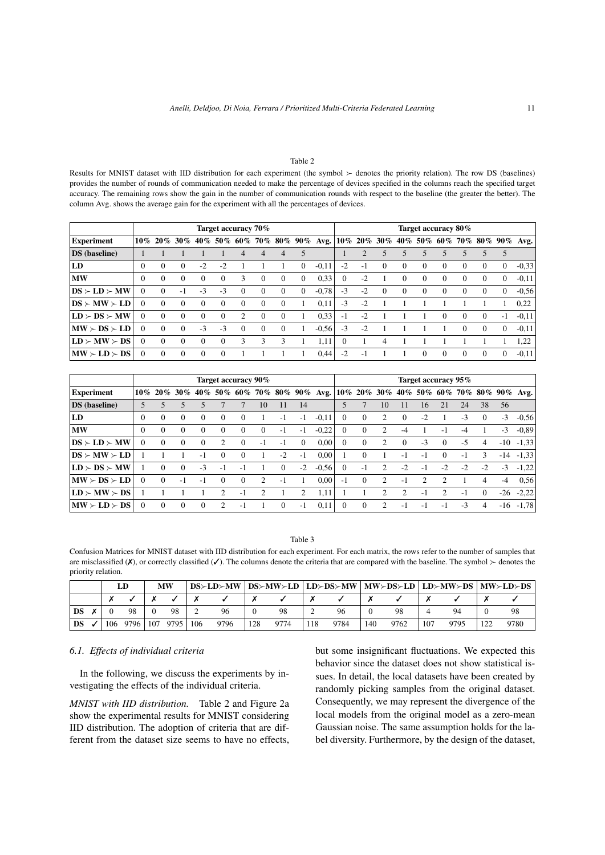#### Table 2

Results for MNIST dataset with IID distribution for each experiment (the symbol  $\succ$  denotes the priority relation). The row DS (baselines) provides the number of rounds of communication needed to make the percentage of devices specified in the columns reach the specified target accuracy. The remaining rows show the gain in the number of communication rounds with respect to the baseline (the greater the better). The column Avg. shows the average gain for the experiment with all the percentages of devices.

|                                             |          |          |          |          | Target accuracy 70% |                |          |                  |            |         |          |                |          |          | Target accuracy 80% |          |          |          |          |             |
|---------------------------------------------|----------|----------|----------|----------|---------------------|----------------|----------|------------------|------------|---------|----------|----------------|----------|----------|---------------------|----------|----------|----------|----------|-------------|
| <b>Experiment</b>                           | $10\%$   | $20\%$   | $30\%$   | 40%      | 50%                 | 60%            | 70 %     |                  | $80\%$ 90% | Avg.    |          | $10\%$ 20% 30% |          |          | 40% 50% 60% 70% 80% |          |          |          |          | $90\%$ Avg. |
| <b>DS</b> (baseline)                        |          |          |          |          |                     | 4              | 4        | 4                |            |         |          |                |          |          |                     | 5        |          |          | 5        |             |
| LD                                          | $\Omega$ | 0        | $\Omega$ | $-2$     | $-2$                |                |          |                  | $\Omega$   | $-0.11$ | $-2$     | -1             | $\Omega$ | $\Omega$ | $\theta$            | $\Omega$ | $\Omega$ | $\Omega$ | $\Omega$ | $-0.33$     |
| <b>MW</b>                                   | $\Omega$ | 0        | $\Omega$ | $\Omega$ | $\Omega$            | 3              | $\Omega$ | $\boldsymbol{0}$ | $\Omega$   | 0.33    | $\Omega$ | $-2$           |          | $\Omega$ | $\Omega$            | $\Omega$ | $\Omega$ | $\theta$ | $\Omega$ | $-0.11$     |
| $\text{DS} \succ \text{LD} \succ \text{MW}$ | $\Omega$ | 0        | -1       | $-3$     | $-3$                | $\Omega$       | $\Omega$ | 0                | $\Omega$   | $-0.78$ | $-3$     | $-2$           | $\Omega$ | $\Omega$ | $\Omega$            | 0        | $\Omega$ | $\Omega$ | 0        | $-0.56$     |
| $DS \succ MW \succ LD$                      | $\Omega$ | $\Omega$ | $\Omega$ | $\Omega$ | $\Omega$            | $\Omega$       | $\Omega$ | $\Omega$         |            | 0.11    | $-3$     | $-2$           |          |          |                     |          |          |          |          | 0,22        |
| $ LD \succ DS \succ MW$                     | $\Omega$ | $\Omega$ | $\Omega$ | $\Omega$ | $\Omega$            | $\mathfrak{D}$ | $\Omega$ | $\Omega$         |            | 0,33    | $-1$     | $-2$           |          |          |                     | $\Omega$ | $\Omega$ | $\Omega$ | $-1$     | $-0.11$     |
| MW > DS > LD                                | $\Omega$ | $\Omega$ | $\Omega$ | $-3$     | $-3$                | $\Omega$       | $\Omega$ | $\Omega$         |            | $-0.56$ | $-3$     | $-2$           |          |          |                     |          | $\Omega$ | $\Omega$ | $\Omega$ | $-0.11$     |
| $ LD \rangle$ -MW $\rangle$ -DS             | $\Omega$ | 0        | $\Omega$ | $\Omega$ | $\Omega$            | 3              | 3        | 3                |            | 1,11    | 0        |                | 4        |          |                     |          |          |          |          | 1,22        |
| $\vert$ MW $\succ$ LD $\succ$ DS            | $\Omega$ | $\Omega$ | $\Omega$ | $\Omega$ | $\Omega$            |                |          |                  |            | 0.44    | $-2$     | - 1            |          |          | $\Omega$            | $\Omega$ | $\Omega$ | $\Omega$ | $\Omega$ | $-0.11$     |

|                                                                              |          |                |          |          | Target accuracy 90% |                |          |                  |          |                              |          |          |                |          |                          | Target accuracy 95%         |      |          |       |                                             |
|------------------------------------------------------------------------------|----------|----------------|----------|----------|---------------------|----------------|----------|------------------|----------|------------------------------|----------|----------|----------------|----------|--------------------------|-----------------------------|------|----------|-------|---------------------------------------------|
| Experiment                                                                   |          | $10\%$ 20% 30% |          |          |                     |                |          |                  |          | 40% 50% 60% 70% 80% 90% Avg. |          |          |                |          |                          |                             |      |          |       | $10\%$ 20% 30% 40% 50% 60% 70% 80% 90% Avg. |
| <b>DS</b> (baseline)                                                         |          |                |          |          |                     |                | 10       | 11               | 14       |                              |          |          | 10             | 11       | 16                       | 21                          | 24   | 38       | 56    |                                             |
| LD                                                                           | $\Omega$ | 0              | $\Omega$ | $\Omega$ | $\Omega$            | $\theta$       |          | $-1$             | $-1$     | $-0.11$                      | 0        | $\Omega$ | 2              | $\Omega$ | $-2$                     |                             | $-3$ | $\Omega$ | $-3$  | $-0.56$                                     |
| <b>MW</b>                                                                    | $\Omega$ | 0              | $\Omega$ | $\Omega$ | $\Omega$            | $\Omega$       | $\Omega$ | $-1$             | -1       | $-0.22$                      | $\Omega$ | $\Omega$ | $\mathfrak{D}$ | $-4$     |                          | - 1                         | -4   |          | $-3$  | $-0.89$                                     |
| $\mathbf{DS} \succ \mathbf{LD} \succ \mathbf{MW}$                            | $\Omega$ | $\Omega$       | $\Omega$ | $\Omega$ | 2                   | $\Omega$       | $-1$     | $-1$             | $\Omega$ | 0.00                         | $\Omega$ | $\Omega$ | 2              | $\Omega$ | $-3$                     | $\Omega$                    | $-5$ | 4        |       | $-10$ $-1,33$                               |
| $DS \succ MW \succ LD$                                                       |          |                |          | $-1$     | $\Omega$            | $\Omega$       |          | $-2$             | $-1$     | 0.00                         |          | $\Omega$ |                | - 1      | $\overline{\phantom{a}}$ | $\Omega$                    | $-1$ | 3        | $-14$ | $-1,33$                                     |
| $ LD \succ DS \succ MW$                                                      |          | 0              | $\Omega$ | $-3$     | -1                  | Ξ.             |          | 0                | $-2$     | $-0.56$                      | $\Omega$ | $-1$     | 2              | $-2$     | $\overline{\phantom{a}}$ | $-2$                        | $-2$ | $-2$     | $-3$  | $-1,22$                                     |
| $MN \succ DS \succ LD$                                                       | $\Omega$ | $\Omega$       | $-1$     | $-1$     | $\Omega$            | $\Omega$       | 2        | $-1$             |          | 0.00                         | $-1$     | $\Omega$ | 2              | $-1$     | 2                        | $\mathcal{D}_{\mathcal{L}}$ |      | 4        | $-4$  | 0,56                                        |
| $ LD \rangle$ -MW $\rangle$ -DS                                              |          |                |          |          | 2                   | $\overline{a}$ |          |                  |          | 1,11                         |          |          |                | າ        | - 1                      | $\mathcal{D}$               | -1   | $\Omega$ | $-26$ | $-2.22$                                     |
| $\mathbf{M}\mathbf{W} \succ \mathbf{L}\mathbf{D} \succ \mathbf{D}\mathbf{S}$ | $\Omega$ | $\Omega$       | $\Omega$ | $\Omega$ |                     | $-1$           |          | $\boldsymbol{0}$ | $-1$     | 0.11                         | $\Omega$ | $\Omega$ |                | $-1$     | $\overline{\phantom{a}}$ | $-1$                        | $-3$ | 4        |       | $-16$ $-1,78$                               |

#### Table 3

Confusion Matrices for MNIST dataset with IID distribution for each experiment. For each matrix, the rows refer to the number of samples that are misclassified ( $\chi$ ), or correctly classified ( $\chi$ ). The columns denote the criteria that are compared with the baseline. The symbol  $\succ$  denotes the priority relation.

|           |     |      |     | МW   |     | $DS \succ LD \succ MW$ |     |      |     |      |     | $DS\succ M W\succ LD$   $LD\succ DS\succ M W$   $M W\succ DS\succ LD$   $LD\succ M W\succ DS$   $M W\succ LD\succ DS$ |     |      |     |      |
|-----------|-----|------|-----|------|-----|------------------------|-----|------|-----|------|-----|-----------------------------------------------------------------------------------------------------------------------|-----|------|-----|------|
|           |     |      |     |      |     |                        |     |      |     |      |     |                                                                                                                       |     |      |     |      |
| <b>DS</b> |     | 98   |     | 98   |     | 96                     |     | 98   |     | 96   |     | 98                                                                                                                    |     | 94   |     | 98   |
| DS        | 106 | 9796 | 107 | 9795 | 106 | 9796                   | 128 | 9774 | 118 | 9784 | 140 | 9762                                                                                                                  | 107 | 9795 | 122 | 9780 |

# *6.1. Effects of individual criteria*

In the following, we discuss the experiments by investigating the effects of the individual criteria.

*MNIST with IID distribution.* Table 2 and Figure 2a show the experimental results for MNIST considering IID distribution. The adoption of criteria that are different from the dataset size seems to have no effects, but some insignificant fluctuations. We expected this behavior since the dataset does not show statistical issues. In detail, the local datasets have been created by randomly picking samples from the original dataset. Consequently, we may represent the divergence of the local models from the original model as a zero-mean Gaussian noise. The same assumption holds for the label diversity. Furthermore, by the design of the dataset,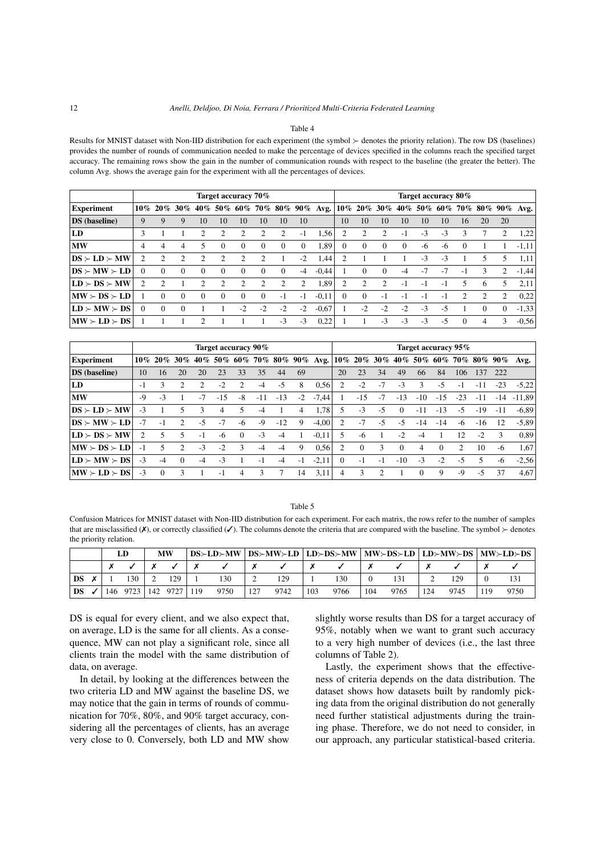#### Table 4

Results for MNIST dataset with Non-IID distribution for each experiment (the symbol  $\succ$  denotes the priority relation). The row DS (baselines) provides the number of rounds of communication needed to make the percentage of devices specified in the columns reach the specified target accuracy. The remaining rows show the gain in the number of communication rounds with respect to the baseline (the greater the better). The column Avg. shows the average gain for the experiment with all the percentages of devices.

|                                             |          |               |          |                             | Target accuracy 70% |                |                             |               |          |         |          |                |               |          |      | Target accuracy 80% |          |          |          |                                                                                         |
|---------------------------------------------|----------|---------------|----------|-----------------------------|---------------------|----------------|-----------------------------|---------------|----------|---------|----------|----------------|---------------|----------|------|---------------------|----------|----------|----------|-----------------------------------------------------------------------------------------|
| <b>Experiment</b>                           |          |               |          |                             |                     |                |                             |               |          |         |          |                |               |          |      |                     |          |          |          | $10\%$ 20% 30% 40% 50% 60% 70% 80% 90% Avg. $10\%$ 20% 30% 40% 50% 60% 70% 80% 90% Avg. |
| <b>DS</b> (baseline)                        | 9        | 9             | 9        | 10                          | 10                  | 10             | 10                          | 10            | 10       |         | 10       | 10             | 10            | 10       | 10   | 10                  | 16       | 20       | 20       |                                                                                         |
| LD                                          |          |               |          |                             |                     |                |                             |               | $-1$     | 1,56    | 2        |                | 2             | $-1$     | $-3$ | $-3$                | 3        |          |          | 1,22                                                                                    |
| <b>MW</b>                                   | 4        | 4             | 4        | 5                           | $\Omega$            | $\Omega$       | $\Omega$                    | $\theta$      | $\theta$ | 1,89    | $\theta$ | $\Omega$       | $\Omega$      | $\Omega$ | -6   | -6                  | $\Omega$ |          |          | $-1,11$                                                                                 |
| $\text{DS} \succ \text{LD} \succ \text{MW}$ |          |               | 2        |                             | 2                   |                |                             |               | $-2$     | 1,44    | 2        |                |               |          | $-3$ | $-3$                |          |          |          | 1.11                                                                                    |
| $DS \succ MW \succ LD$                      | $\Omega$ | $\Omega$      | $\Omega$ | $\Omega$                    | $\Omega$            | $\Omega$       | $\Omega$                    | $\Omega$      | $-4$     | $-0.44$ |          | $\Omega$       | $\Omega$      | $-4$     | $-7$ | $-7$                | -1       | 3        | 2        | $-1.44$                                                                                 |
| $ LD \succ DS \succ MW$                     | 2        | $\mathcal{D}$ |          | $\mathcal{D}_{\mathcal{L}}$ | $\mathcal{L}$       | $\mathfrak{D}$ | $\mathcal{D}_{\mathcal{L}}$ | $\mathcal{L}$ | 2        | 1,89    | 2        | $\mathfrak{D}$ | $\mathcal{L}$ | -1       | $-1$ | $-1$                |          | 6        | 5.       | 2.11                                                                                    |
| $MN \succ DS \succ LD$                      |          | $\Omega$      | $\theta$ | $\Omega$                    | $\Omega$            | $\Omega$       | $\Omega$                    | $-1$          | $-1$     | $-0.11$ | $\Omega$ | $\Omega$       | $-1$          | -1       | - 1  |                     |          |          | 2        | 0,22                                                                                    |
| $ LD \rangle$ -MW $\rangle$ -DS             | $\Omega$ | $\Omega$      | $\Omega$ |                             |                     | $-2$           | $-2$                        | $-2$          | $-2$     | $-0.67$ |          | $-2$           | $-2$          | $-2$     | $-3$ | -5                  |          | $\Omega$ | $\Omega$ | $-1,33$                                                                                 |
| $MN \succ LD \succ DS$                      |          |               |          | っ                           |                     |                |                             | $-3$          | $-3$     | 0,22    |          |                | $-3$          | $-3$     | $-3$ | $-5$                | $\Omega$ | 4        | 3        | $-0.56$                                                                                 |

|                                             |      |                |                |      |       | Target accuracy 90% |       |       |      |                              |          |          |      |          |            | Target accuracy 95% |       |       |       |                                             |
|---------------------------------------------|------|----------------|----------------|------|-------|---------------------|-------|-------|------|------------------------------|----------|----------|------|----------|------------|---------------------|-------|-------|-------|---------------------------------------------|
| <b>Experiment</b>                           |      | $10\%$ 20% 30% |                |      |       |                     |       |       |      | 40% 50% 60% 70% 80% 90% Avg. |          |          |      |          |            |                     |       |       |       | $10\%$ 20% 30% 40% 50% 60% 70% 80% 90% Avg. |
| <b>DS</b> (baseline)                        | 10   | 16             | 20             | 20   | 23    | 33                  | 35    | 44    | -69  |                              | 20       | 23       | 34   | 49       | 66         | 84                  | 106   | 137   | 222   |                                             |
| LD                                          | $-1$ |                |                | 2    | $-2$  | $\mathfrak{D}$      | -4    | $-5$  | 8    | 0,56                         | 2        | $-2$     | $-7$ | $-3$     | ٩          | $-5$                | - 1   | -11   | $-23$ | $-5.22$                                     |
| <b>MW</b>                                   | $-9$ | $-3$           |                | $-7$ | $-15$ | -8                  | $-11$ | $-13$ | $-2$ | $-7,44$                      |          | $-15$    | $-7$ | $-13$    | $-10^{-1}$ | $-15$               | $-23$ | -11   | $-14$ | $-11.89$                                    |
| $\text{DS} \succ \text{LD} \succ \text{MW}$ | $-3$ |                | 5              | 3    | 4     | 5                   | -4    |       | 4    | 1.78                         | 5        | $-3$     | $-5$ | $\Omega$ | $-11$      | $-13$               | $-5$  | $-19$ | -11   | $-6.89$                                     |
| $\text{DS} \succ \text{MW} \succ \text{LD}$ | $-7$ | $-1$           | $\mathcal{L}$  | $-5$ | $-7$  | -6                  | $-9$  | $-12$ | 9    | $-4.00$                      | 2        | $-7$     | $-5$ | -5       | $-14$      | $-14$               | -6    | $-16$ | 12    | $-5.89$                                     |
| $ LD \rangle$ DS $\succ$ MW                 | 2    | 5              | 5              | $-1$ | -6    | $\Omega$            | $-3$  | $-4$  |      | $-0.11$                      | 5        | -6       |      | $-2$     | $-4$       |                     | 12    | $-2$  |       | 0.89                                        |
| $MN \succ DS \succ LD$                      | $-1$ | 5              | $\mathfrak{D}$ | $-3$ | $-2$  | 3                   | $-4$  | $-4$  | 9    | 0.56                         | 2        | $\Omega$ | 3    | $\Omega$ | 4          | $\Omega$            | 2     | 10    | -6    | 1.67                                        |
| $ LD \succ MW \succ DS $                    | $-3$ | $-4$           | $\Omega$       | $-4$ | $-3$  |                     | -1    | $-4$  | $-1$ | $-2,11$                      | $\Omega$ | $-1$     | $-1$ | $-10$    | $-3$       | $-2$                | -5    |       | -6    | $-2,56$                                     |
| $ MW \rangle$ LD $\succ$ DS                 | $-3$ | $\Omega$       | 3              |      | - 1   | 4                   | 3     |       | 14   | 3,11                         | 4        | 3        |      |          | $\Omega$   | 9                   | $-9$  | $-5$  | 37    | 4.67                                        |

#### Table 5

Confusion Matrices for MNIST dataset with Non-IID distribution for each experiment. For each matrix, the rows refer to the number of samples that are misclassified ( $X$ ), or correctly classified ( $\checkmark$ ). The columns denote the criteria that are compared with the baseline. The symbol  $\succ$  denotes the priority relation.

|    |  |                       | MW  |      |     |      |     |      |          | $DS\succ LD\succ MW$ $DS\succ MW\succ LD$ $LD\succ DS\succ MW$ $MW\succ DS\succ LD$ $LD\succ MW\succ DS$ $MW\succ LD\succ DS$ |     |      |     |      |
|----|--|-----------------------|-----|------|-----|------|-----|------|----------|-------------------------------------------------------------------------------------------------------------------------------|-----|------|-----|------|
|    |  |                       |     |      |     |      |     |      |          |                                                                                                                               |     |      |     |      |
| DS |  | 130                   | 129 | 130  |     | 129  |     | 130  | $\theta$ | 131                                                                                                                           |     | 129  |     |      |
| DS |  | 146 9723 142 9727 119 |     | 9750 | 127 | 9742 | 103 | 9766 | 104      | 9765                                                                                                                          | 124 | 9745 | 119 | 9750 |

DS is equal for every client, and we also expect that, on average, LD is the same for all clients. As a consequence, MW can not play a significant role, since all clients train the model with the same distribution of data, on average.

In detail, by looking at the differences between the two criteria LD and MW against the baseline DS, we may notice that the gain in terms of rounds of communication for 70%, 80%, and 90% target accuracy, considering all the percentages of clients, has an average very close to 0. Conversely, both LD and MW show slightly worse results than DS for a target accuracy of 95%, notably when we want to grant such accuracy to a very high number of devices (i.e., the last three columns of Table 2).

Lastly, the experiment shows that the effectiveness of criteria depends on the data distribution. The dataset shows how datasets built by randomly picking data from the original distribution do not generally need further statistical adjustments during the training phase. Therefore, we do not need to consider, in our approach, any particular statistical-based criteria.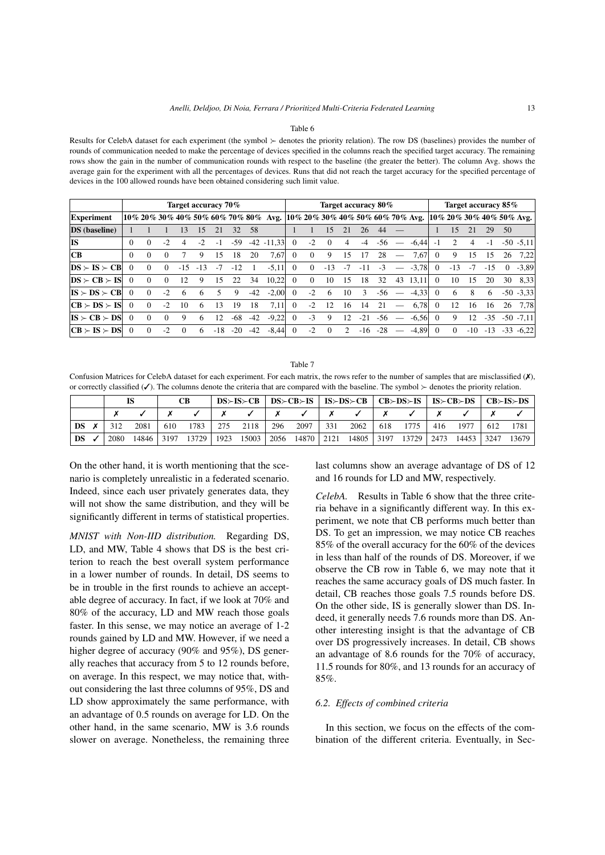#### Table 6

Results for CelebA dataset for each experiment (the symbol  $\succ$  denotes the priority relation). The row DS (baselines) provides the number of rounds of communication needed to make the percentage of devices specified in the columns reach the specified target accuracy. The remaining rows show the gain in the number of communication rounds with respect to the baseline (the greater the better). The column Avg. shows the average gain for the experiment with all the percentages of devices. Runs that did not reach the target accuracy for the specified percentage of devices in the 100 allowed rounds have been obtained considering such limit value.

|                                                 |          |          |          | Target accuracy 70% |       |       |       |       |                                                                             |          |          | Target accuracy 80% |      |       |       |    |         |          | Target accuracy 85% |      |       |          |                             |
|-------------------------------------------------|----------|----------|----------|---------------------|-------|-------|-------|-------|-----------------------------------------------------------------------------|----------|----------|---------------------|------|-------|-------|----|---------|----------|---------------------|------|-------|----------|-----------------------------|
| <b>Experiment</b>                               |          |          |          |                     |       |       |       |       | $10\%$ 20% 30% 40% 50% 60% 70% 80% Avg. $10\%$ 20% 30% 40% 50% 60% 70% Avg. |          |          |                     |      |       |       |    |         |          |                     |      |       |          | $10\%$ 20% 30% 40% 50% Avg. |
| <b>DS</b> (baseline)                            |          |          |          | 13                  | 15    | 21    | 32    | .58   |                                                                             |          |          | 15                  | 21   | 26    | 44    |    |         |          | 15                  | 21   | 29    | 50       |                             |
| IS                                              | $\Omega$ |          | $-2$     | 4                   |       | $-1$  | $-59$ |       | $-42 - 11.33$                                                               | $\Omega$ | $-2$     | $\Omega$            | 4    | $-4$  | -56   |    | $-6.44$ | $-1$     |                     | 4    | $-1$  |          | $-50 - 5.11$                |
| CВ                                              | $\Omega$ |          | $\Omega$ |                     |       | 15    | 18    | 20    | 7.67                                                                        | $\theta$ | $\theta$ | 9                   | 15   |       | 28    |    | 7,67    | $\Omega$ | 9                   | 15   | 15    | 26       | 7.22                        |
| $DS \succ IS \succ CB$                          | 0        | $\Omega$ | $\Omega$ | $-1.5$              | $-13$ | $-7$  | $-12$ |       | $-5,11$                                                                     | $\Omega$ | $\Omega$ | $-13$               | $-7$ | $-11$ | $-3$  |    | $-3,78$ | $\Omega$ | $-13$               | $-7$ | $-15$ | $\Omega$ | $-3.89$                     |
| $DS \succ CB \succ IS$                          | $\Omega$ | $\Omega$ | $\Omega$ | 12                  | 9     | 15    | 22    | 34    | 10.22                                                                       | $\Omega$ | $\Omega$ | 10                  | 15   | 18    | 32    | 43 | 13,11   | $\Omega$ | 10                  | 15   | 20    | 30       | 8.33                        |
| $IS \succ DS \succ CB$                          | $\Omega$ | $\Omega$ | $-2$     | 6                   | 6     |       | 9     | $-42$ | $-2,00$                                                                     | $\Omega$ | $-2$     | -6                  | 10   | 3     | $-56$ |    | $-4,33$ | $\Omega$ | -6                  | 8    | 6     |          | $-50 - 3.33$                |
| $ CB \succ DS \succ IS $                        | $\Omega$ | $\Omega$ | $-2$     | 10                  | 6     | 13    | 19    | 18    | 7,11                                                                        | $\Omega$ | $-2$     | 12                  | 16   | 14    | 21    |    | 6.78    | $\Omega$ | 12                  | 16   | 16    | 26       | 7.78                        |
| $ IS \rangle$ $\subset$ $B \rangle$ $\sim$ $DS$ | $\Omega$ | $\Omega$ | $\Omega$ | 9                   | 6     | 12    | $-68$ | $-42$ | $-9.22$                                                                     | $\Omega$ | $-3$     | 9                   | 12   | $-21$ | -56   |    | $-6.56$ | $\Omega$ | 9                   | 12   | $-35$ |          | $-50$ $-7.11$               |
| $ CB \rangle$ IS $\rangle$ DS                   | 0        | $\Omega$ | $-2$     | $\Omega$            | 6     | $-18$ | $-20$ | $-42$ | $-8.44$                                                                     | $\Omega$ | $-2$     | $\Omega$            |      | -16   | $-28$ |    | $-4.89$ | $\Omega$ | $\Omega$            | -10  | $-13$ | $-33$    | $-6.22$                     |

#### Table 7

Confusion Matrices for CelebA dataset for each experiment. For each matrix, the rows refer to the number of samples that are misclassified ( $\chi$ ), or correctly classified ( $\checkmark$ ). The columns denote the criteria that are compared with the baseline. The symbol  $\succ$  denotes the priority relation.

|                 |      |      |  |                                                      |                 | $DS\succ IS\succ CB$   $DS\succ CB\succ IS$   $IS\succ DS\succ CB$   $CB\succ DS\succ IS$   $IS\succ CB\succ DS$   $CB\succ IS\succ DS$ |                                                          |  |  |
|-----------------|------|------|--|------------------------------------------------------|-----------------|-----------------------------------------------------------------------------------------------------------------------------------------|----------------------------------------------------------|--|--|
|                 |      |      |  | $\begin{array}{ccc} \times & \checkmark \end{array}$ | $X$ $X$ $X$ $Y$ |                                                                                                                                         | $\begin{array}{ccc} \mathsf{X} & \mathsf{Y} \end{array}$ |  |  |
| $DS \times$     | 312  | 2081 |  |                                                      |                 | 610 1783   275 2118   296 2097   331 2062   618 1775   416 1977   612 1781                                                              |                                                          |  |  |
| $DS \checkmark$ | 2080 |      |  |                                                      |                 | 14846 3197 13729 3247 15003 2056 14870 2121 14805 3197 13729 2473 14453 3247 13679                                                      |                                                          |  |  |

On the other hand, it is worth mentioning that the scenario is completely unrealistic in a federated scenario. Indeed, since each user privately generates data, they will not show the same distribution, and they will be significantly different in terms of statistical properties.

*MNIST with Non-IID distribution.* Regarding DS, LD, and MW, Table 4 shows that DS is the best criterion to reach the best overall system performance in a lower number of rounds. In detail, DS seems to be in trouble in the first rounds to achieve an acceptable degree of accuracy. In fact, if we look at 70% and 80% of the accuracy, LD and MW reach those goals faster. In this sense, we may notice an average of 1-2 rounds gained by LD and MW. However, if we need a higher degree of accuracy (90% and 95%), DS generally reaches that accuracy from 5 to 12 rounds before, on average. In this respect, we may notice that, without considering the last three columns of 95%, DS and LD show approximately the same performance, with an advantage of 0.5 rounds on average for LD. On the other hand, in the same scenario, MW is 3.6 rounds slower on average. Nonetheless, the remaining three last columns show an average advantage of DS of 12 and 16 rounds for LD and MW, respectively.

*CelebA.* Results in Table 6 show that the three criteria behave in a significantly different way. In this experiment, we note that CB performs much better than DS. To get an impression, we may notice CB reaches 85% of the overall accuracy for the 60% of the devices in less than half of the rounds of DS. Moreover, if we observe the CB row in Table 6, we may note that it reaches the same accuracy goals of DS much faster. In detail, CB reaches those goals 7.5 rounds before DS. On the other side, IS is generally slower than DS. Indeed, it generally needs 7.6 rounds more than DS. Another interesting insight is that the advantage of CB over DS progressively increases. In detail, CB shows an advantage of 8.6 rounds for the 70% of accuracy, 11.5 rounds for 80%, and 13 rounds for an accuracy of 85%.

## *6.2. Effects of combined criteria*

In this section, we focus on the effects of the combination of the different criteria. Eventually, in Sec-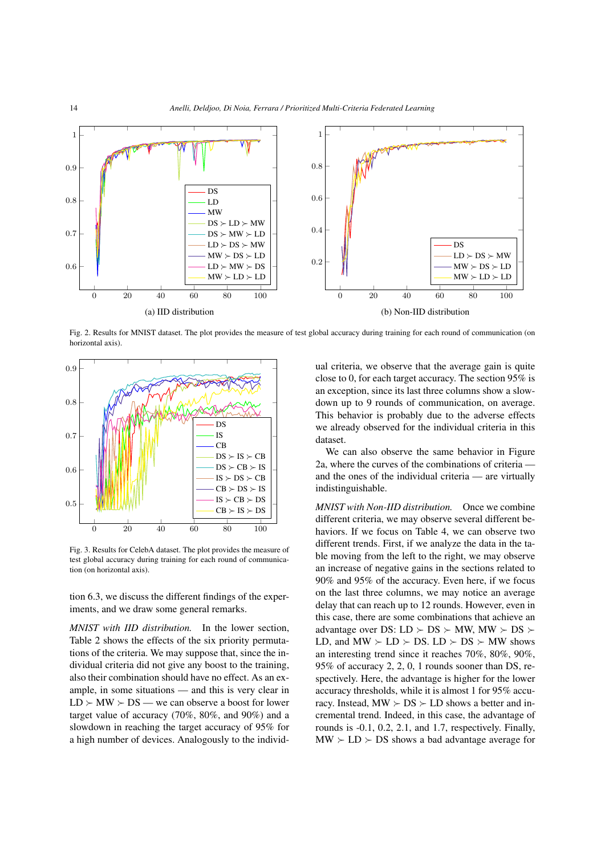

Fig. 2. Results for MNIST dataset. The plot provides the measure of test global accuracy during training for each round of communication (on horizontal axis).



Fig. 3. Results for CelebA dataset. The plot provides the measure of test global accuracy during training for each round of communication (on horizontal axis).

tion 6.3, we discuss the different findings of the experiments, and we draw some general remarks.

*MNIST with IID distribution.* In the lower section, Table 2 shows the effects of the six priority permutations of the criteria. We may suppose that, since the individual criteria did not give any boost to the training, also their combination should have no effect. As an example, in some situations — and this is very clear in  $LD \succ MW \succ DS$  — we can observe a boost for lower target value of accuracy (70%, 80%, and 90%) and a slowdown in reaching the target accuracy of 95% for a high number of devices. Analogously to the individual criteria, we observe that the average gain is quite close to 0, for each target accuracy. The section 95% is an exception, since its last three columns show a slowdown up to 9 rounds of communication, on average. This behavior is probably due to the adverse effects we already observed for the individual criteria in this dataset.

We can also observe the same behavior in Figure 2a, where the curves of the combinations of criteria and the ones of the individual criteria — are virtually indistinguishable.

*MNIST with Non-IID distribution.* Once we combine different criteria, we may observe several different behaviors. If we focus on Table 4, we can observe two different trends. First, if we analyze the data in the table moving from the left to the right, we may observe an increase of negative gains in the sections related to 90% and 95% of the accuracy. Even here, if we focus on the last three columns, we may notice an average delay that can reach up to 12 rounds. However, even in this case, there are some combinations that achieve an advantage over DS:  $LD \succ DS \succ MW$ ,  $MW \succ DS \succ$ LD, and  $MW \succ LD \succ DS$ . LD  $\succ DS \succ MW$  shows an interesting trend since it reaches 70%, 80%, 90%, 95% of accuracy 2, 2, 0, 1 rounds sooner than DS, respectively. Here, the advantage is higher for the lower accuracy thresholds, while it is almost 1 for 95% accuracy. Instead,  $MW \succ DS \succ LD$  shows a better and incremental trend. Indeed, in this case, the advantage of rounds is -0.1, 0.2, 2.1, and 1.7, respectively. Finally,  $MW \succ LD \succ DS$  shows a bad advantage average for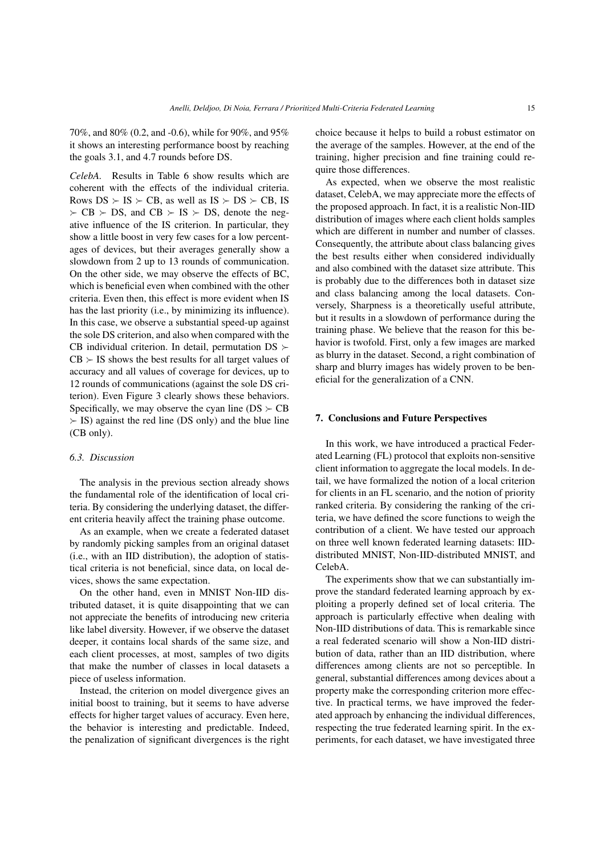70%, and 80% (0.2, and -0.6), while for 90%, and 95% it shows an interesting performance boost by reaching the goals 3.1, and 4.7 rounds before DS.

*CelebA.* Results in Table 6 show results which are coherent with the effects of the individual criteria. Rows  $DS \succ IS \succ CB$ , as well as  $IS \succ DS \succ CB$ . IS  $\triangleright$  CB  $\triangleright$  DS, and CB  $\triangleright$  IS  $\triangleright$  DS, denote the negative influence of the IS criterion. In particular, they show a little boost in very few cases for a low percentages of devices, but their averages generally show a slowdown from 2 up to 13 rounds of communication. On the other side, we may observe the effects of BC, which is beneficial even when combined with the other criteria. Even then, this effect is more evident when IS has the last priority (i.e., by minimizing its influence). In this case, we observe a substantial speed-up against the sole DS criterion, and also when compared with the CB individual criterion. In detail, permutation  $DS \succ$  $CB \succ IS$  shows the best results for all target values of accuracy and all values of coverage for devices, up to 12 rounds of communications (against the sole DS criterion). Even Figure 3 clearly shows these behaviors. Specifically, we may observe the cyan line ( $DS \succ CB$  $\Sigma$  IS) against the red line (DS only) and the blue line (CB only).

## *6.3. Discussion*

The analysis in the previous section already shows the fundamental role of the identification of local criteria. By considering the underlying dataset, the different criteria heavily affect the training phase outcome.

As an example, when we create a federated dataset by randomly picking samples from an original dataset (i.e., with an IID distribution), the adoption of statistical criteria is not beneficial, since data, on local devices, shows the same expectation.

On the other hand, even in MNIST Non-IID distributed dataset, it is quite disappointing that we can not appreciate the benefits of introducing new criteria like label diversity. However, if we observe the dataset deeper, it contains local shards of the same size, and each client processes, at most, samples of two digits that make the number of classes in local datasets a piece of useless information.

Instead, the criterion on model divergence gives an initial boost to training, but it seems to have adverse effects for higher target values of accuracy. Even here, the behavior is interesting and predictable. Indeed, the penalization of significant divergences is the right choice because it helps to build a robust estimator on the average of the samples. However, at the end of the training, higher precision and fine training could require those differences.

As expected, when we observe the most realistic dataset, CelebA, we may appreciate more the effects of the proposed approach. In fact, it is a realistic Non-IID distribution of images where each client holds samples which are different in number and number of classes. Consequently, the attribute about class balancing gives the best results either when considered individually and also combined with the dataset size attribute. This is probably due to the differences both in dataset size and class balancing among the local datasets. Conversely, Sharpness is a theoretically useful attribute, but it results in a slowdown of performance during the training phase. We believe that the reason for this behavior is twofold. First, only a few images are marked as blurry in the dataset. Second, a right combination of sharp and blurry images has widely proven to be beneficial for the generalization of a CNN.

## 7. Conclusions and Future Perspectives

In this work, we have introduced a practical Federated Learning (FL) protocol that exploits non-sensitive client information to aggregate the local models. In detail, we have formalized the notion of a local criterion for clients in an FL scenario, and the notion of priority ranked criteria. By considering the ranking of the criteria, we have defined the score functions to weigh the contribution of a client. We have tested our approach on three well known federated learning datasets: IIDdistributed MNIST, Non-IID-distributed MNIST, and CelebA.

The experiments show that we can substantially improve the standard federated learning approach by exploiting a properly defined set of local criteria. The approach is particularly effective when dealing with Non-IID distributions of data. This is remarkable since a real federated scenario will show a Non-IID distribution of data, rather than an IID distribution, where differences among clients are not so perceptible. In general, substantial differences among devices about a property make the corresponding criterion more effective. In practical terms, we have improved the federated approach by enhancing the individual differences, respecting the true federated learning spirit. In the experiments, for each dataset, we have investigated three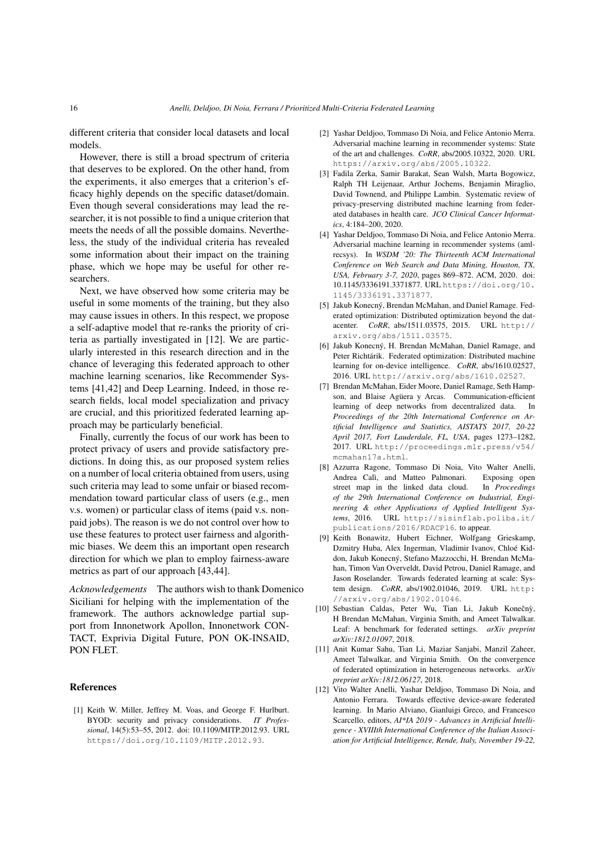different criteria that consider local datasets and local models.

However, there is still a broad spectrum of criteria that deserves to be explored. On the other hand, from the experiments, it also emerges that a criterion's efficacy highly depends on the specific dataset/domain. Even though several considerations may lead the researcher, it is not possible to find a unique criterion that meets the needs of all the possible domains. Nevertheless, the study of the individual criteria has revealed some information about their impact on the training phase, which we hope may be useful for other researchers.

Next, we have observed how some criteria may be useful in some moments of the training, but they also may cause issues in others. In this respect, we propose a self-adaptive model that re-ranks the priority of criteria as partially investigated in [12]. We are particularly interested in this research direction and in the chance of leveraging this federated approach to other machine learning scenarios, like Recommender Systems [41,42] and Deep Learning. Indeed, in those research fields, local model specialization and privacy are crucial, and this prioritized federated learning approach may be particularly beneficial.

Finally, currently the focus of our work has been to protect privacy of users and provide satisfactory predictions. In doing this, as our proposed system relies on a number of local criteria obtained from users, using such criteria may lead to some unfair or biased recommendation toward particular class of users (e.g., men v.s. women) or particular class of items (paid v.s. nonpaid jobs). The reason is we do not control over how to use these features to protect user fairness and algorithmic biases. We deem this an important open research direction for which we plan to employ fairness-aware metrics as part of our approach [43,44].

*Acknowledgements* The authors wish to thank Domenico Siciliani for helping with the implementation of the framework. The authors acknowledge partial support from Innonetwork Apollon, Innonetwork CON-TACT, Exprivia Digital Future, PON OK-INSAID, PON FLET.

## References

[1] Keith W. Miller, Jeffrey M. Voas, and George F. Hurlburt. BYOD: security and privacy considerations. *IT Professional*, 14(5):53–55, 2012. doi: 10.1109/MITP.2012.93. URL https://doi.org/10.1109/MITP.2012.93.

- [2] Yashar Deldjoo, Tommaso Di Noia, and Felice Antonio Merra. Adversarial machine learning in recommender systems: State of the art and challenges. *CoRR*, abs/2005.10322, 2020. URL https://arxiv.org/abs/2005.10322.
- [3] Fadila Zerka, Samir Barakat, Sean Walsh, Marta Bogowicz, Ralph TH Leijenaar, Arthur Jochems, Benjamin Miraglio, David Townend, and Philippe Lambin. Systematic review of privacy-preserving distributed machine learning from federated databases in health care. *JCO Clinical Cancer Informatics*, 4:184–200, 2020.
- [4] Yashar Deldjoo, Tommaso Di Noia, and Felice Antonio Merra. Adversarial machine learning in recommender systems (amlrecsys). In *WSDM '20: The Thirteenth ACM International Conference on Web Search and Data Mining, Houston, TX, USA, February 3-7, 2020*, pages 869–872. ACM, 2020. doi: 10.1145/3336191.3371877. URL https://doi.org/10. 1145/3336191.3371877.
- [5] Jakub Konecný, Brendan McMahan, and Daniel Ramage. Federated optimization: Distributed optimization beyond the datacenter. *CoRR*, abs/1511.03575, 2015. URL http:// arxiv.org/abs/1511.03575.
- [6] Jakub Konecný, H. Brendan McMahan, Daniel Ramage, and Peter Richtárik. Federated optimization: Distributed machine learning for on-device intelligence. *CoRR*, abs/1610.02527, 2016. URL http://arxiv.org/abs/1610.02527.
- [7] Brendan McMahan, Eider Moore, Daniel Ramage, Seth Hampson, and Blaise Agüera y Arcas. Communication-efficient learning of deep networks from decentralized data. In *Proceedings of the 20th International Conference on Artificial Intelligence and Statistics, AISTATS 2017, 20-22 April 2017, Fort Lauderdale, FL, USA*, pages 1273–1282, 2017. URL http://proceedings.mlr.press/v54/ mcmahan17a.html.
- [8] Azzurra Ragone, Tommaso Di Noia, Vito Walter Anelli, Andrea Calì, and Matteo Palmonari. Exposing open street map in the linked data cloud. In *Proceedings of the 29th International Conference on Industrial, Engineering & other Applications of Applied Intelligent Systems*, 2016. URL http://sisinflab.poliba.it/ publications/2016/RDACP16. to appear.
- [9] Keith Bonawitz, Hubert Eichner, Wolfgang Grieskamp, Dzmitry Huba, Alex Ingerman, Vladimir Ivanov, Chloé Kiddon, Jakub Konecný, Stefano Mazzocchi, H. Brendan McMahan, Timon Van Overveldt, David Petrou, Daniel Ramage, and Jason Roselander. Towards federated learning at scale: System design. *CoRR*, abs/1902.01046, 2019. URL http: //arxiv.org/abs/1902.01046.
- [10] Sebastian Caldas, Peter Wu, Tian Li, Jakub Konečnỳ, H Brendan McMahan, Virginia Smith, and Ameet Talwalkar. Leaf: A benchmark for federated settings. *arXiv preprint arXiv:1812.01097*, 2018.
- [11] Anit Kumar Sahu, Tian Li, Maziar Sanjabi, Manzil Zaheer, Ameet Talwalkar, and Virginia Smith. On the convergence of federated optimization in heterogeneous networks. *arXiv preprint arXiv:1812.06127*, 2018.
- [12] Vito Walter Anelli, Yashar Deldjoo, Tommaso Di Noia, and Antonio Ferrara. Towards effective device-aware federated learning. In Mario Alviano, Gianluigi Greco, and Francesco Scarcello, editors, *AI\*IA 2019 - Advances in Artificial Intelligence - XVIIIth International Conference of the Italian Association for Artificial Intelligence, Rende, Italy, November 19-22,*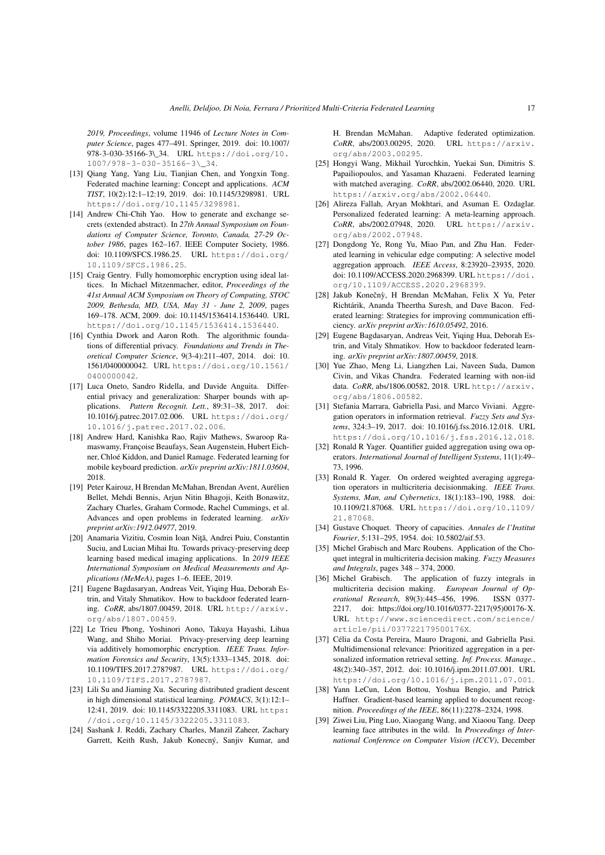*2019, Proceedings*, volume 11946 of *Lecture Notes in Computer Science*, pages 477–491. Springer, 2019. doi: 10.1007/ 978-3-030-35166-3\\_34. URL https://doi.org/10. 1007/978-3-030-35166-3\\_34.

- [13] Oiang Yang, Yang Liu, Tianjian Chen, and Yongxin Tong. Federated machine learning: Concept and applications. *ACM TIST*, 10(2):12:1–12:19, 2019. doi: 10.1145/3298981. URL https://doi.org/10.1145/3298981.
- [14] Andrew Chi-Chih Yao. How to generate and exchange secrets (extended abstract). In *27th Annual Symposium on Foundations of Computer Science, Toronto, Canada, 27-29 October 1986*, pages 162–167. IEEE Computer Society, 1986. doi: 10.1109/SFCS.1986.25. URL https://doi.org/ 10.1109/SFCS.1986.25.
- [15] Craig Gentry. Fully homomorphic encryption using ideal lattices. In Michael Mitzenmacher, editor, *Proceedings of the 41st Annual ACM Symposium on Theory of Computing, STOC 2009, Bethesda, MD, USA, May 31 - June 2, 2009*, pages 169–178. ACM, 2009. doi: 10.1145/1536414.1536440. URL https://doi.org/10.1145/1536414.1536440.
- [16] Cynthia Dwork and Aaron Roth. The algorithmic foundations of differential privacy. *Foundations and Trends in Theoretical Computer Science*, 9(3-4):211–407, 2014. doi: 10. 1561/0400000042. URL https://doi.org/10.1561/ 0400000042.
- [17] Luca Oneto, Sandro Ridella, and Davide Anguita. Differential privacy and generalization: Sharper bounds with applications. *Pattern Recognit. Lett.*, 89:31–38, 2017. doi: 10.1016/j.patrec.2017.02.006. URL https://doi.org/ 10.1016/j.patrec.2017.02.006.
- [18] Andrew Hard, Kanishka Rao, Rajiv Mathews, Swaroop Ramaswamy, Françoise Beaufays, Sean Augenstein, Hubert Eichner, Chloé Kiddon, and Daniel Ramage. Federated learning for mobile keyboard prediction. *arXiv preprint arXiv:1811.03604*, 2018.
- [19] Peter Kairouz, H Brendan McMahan, Brendan Avent, Aurélien Bellet, Mehdi Bennis, Arjun Nitin Bhagoji, Keith Bonawitz, Zachary Charles, Graham Cormode, Rachel Cummings, et al. Advances and open problems in federated learning. *arXiv preprint arXiv:1912.04977*, 2019.
- [20] Anamaria Vizitiu, Cosmin Ioan Niță, Andrei Puiu, Constantin Suciu, and Lucian Mihai Itu. Towards privacy-preserving deep learning based medical imaging applications. In *2019 IEEE International Symposium on Medical Measurements and Applications (MeMeA)*, pages 1–6. IEEE, 2019.
- [21] Eugene Bagdasaryan, Andreas Veit, Yiqing Hua, Deborah Estrin, and Vitaly Shmatikov. How to backdoor federated learning. *CoRR*, abs/1807.00459, 2018. URL http://arxiv. org/abs/1807.00459.
- [22] Le Trieu Phong, Yoshinori Aono, Takuya Hayashi, Lihua Wang, and Shiho Moriai. Privacy-preserving deep learning via additively homomorphic encryption. *IEEE Trans. Information Forensics and Security*, 13(5):1333–1345, 2018. doi: 10.1109/TIFS.2017.2787987. URL https://doi.org/ 10.1109/TIFS.2017.2787987.
- [23] Lili Su and Jiaming Xu. Securing distributed gradient descent in high dimensional statistical learning. *POMACS*, 3(1):12:1– 12:41, 2019. doi: 10.1145/3322205.3311083. URL https: //doi.org/10.1145/3322205.3311083.
- [24] Sashank J. Reddi, Zachary Charles, Manzil Zaheer, Zachary Garrett, Keith Rush, Jakub Konecný, Sanjiv Kumar, and

H. Brendan McMahan. Adaptive federated optimization. *CoRR*, abs/2003.00295, 2020. URL https://arxiv. org/abs/2003.00295.

- [25] Hongyi Wang, Mikhail Yurochkin, Yuekai Sun, Dimitris S. Papailiopoulos, and Yasaman Khazaeni. Federated learning with matched averaging. *CoRR*, abs/2002.06440, 2020. URL https://arxiv.org/abs/2002.06440.
- [26] Alireza Fallah, Aryan Mokhtari, and Asuman E. Ozdaglar. Personalized federated learning: A meta-learning approach. *CoRR*, abs/2002.07948, 2020. URL https://arxiv. org/abs/2002.07948.
- [27] Dongdong Ye, Rong Yu, Miao Pan, and Zhu Han. Federated learning in vehicular edge computing: A selective model aggregation approach. *IEEE Access*, 8:23920–23935, 2020. doi: 10.1109/ACCESS.2020.2968399. URL https://doi. org/10.1109/ACCESS.2020.2968399.
- [28] Jakub Konečnỳ, H Brendan McMahan, Felix X Yu, Peter Richtárik, Ananda Theertha Suresh, and Dave Bacon. Federated learning: Strategies for improving communication efficiency. *arXiv preprint arXiv:1610.05492*, 2016.
- [29] Eugene Bagdasaryan, Andreas Veit, Yiqing Hua, Deborah Estrin, and Vitaly Shmatikov. How to backdoor federated learning. *arXiv preprint arXiv:1807.00459*, 2018.
- [30] Yue Zhao, Meng Li, Liangzhen Lai, Naveen Suda, Damon Civin, and Vikas Chandra. Federated learning with non-iid data. *CoRR*, abs/1806.00582, 2018. URL http://arxiv. org/abs/1806.00582.
- [31] Stefania Marrara, Gabriella Pasi, and Marco Viviani. Aggregation operators in information retrieval. *Fuzzy Sets and Systems*, 324:3–19, 2017. doi: 10.1016/j.fss.2016.12.018. URL https://doi.org/10.1016/j.fss.2016.12.018.
- [32] Ronald R Yager. Quantifier guided aggregation using owa operators. *International Journal of Intelligent Systems*, 11(1):49– 73, 1996.
- [33] Ronald R. Yager. On ordered weighted averaging aggregation operators in multicriteria decisionmaking. *IEEE Trans. Systems, Man, and Cybernetics*, 18(1):183–190, 1988. doi: 10.1109/21.87068. URL https://doi.org/10.1109/ 21.87068.
- [34] Gustave Choquet. Theory of capacities. *Annales de l'Institut Fourier*, 5:131–295, 1954. doi: 10.5802/aif.53.
- [35] Michel Grabisch and Marc Roubens. Application of the Choquet integral in multicriteria decision making. *Fuzzy Measures and Integrals*, pages 348 – 374, 2000.
- [36] Michel Grabisch. The application of fuzzy integrals in multicriteria decision making. *European Journal of Operational Research*, 89(3):445–456, 1996. ISSN 0377- 2217. doi: https://doi.org/10.1016/0377-2217(95)00176-X. URL http://www.sciencedirect.com/science/ article/pii/037722179500176X.
- [37] Célia da Costa Pereira, Mauro Dragoni, and Gabriella Pasi. Multidimensional relevance: Prioritized aggregation in a personalized information retrieval setting. *Inf. Process. Manage.*, 48(2):340–357, 2012. doi: 10.1016/j.ipm.2011.07.001. URL https://doi.org/10.1016/j.ipm.2011.07.001.
- [38] Yann LeCun, Léon Bottou, Yoshua Bengio, and Patrick Haffner. Gradient-based learning applied to document recognition. *Proceedings of the IEEE*, 86(11):2278–2324, 1998.
- [39] Ziwei Liu, Ping Luo, Xiaogang Wang, and Xiaoou Tang. Deep learning face attributes in the wild. In *Proceedings of International Conference on Computer Vision (ICCV)*, December